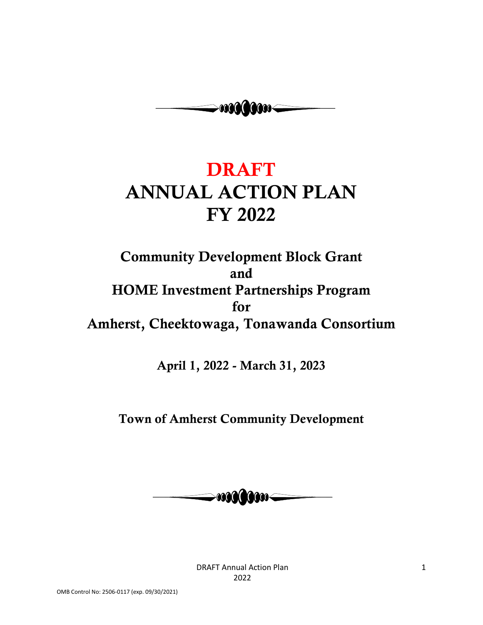

# **DRAFT ANNUAL ACTION PLAN FY 2022**

**Community Development Block Grant and HOME Investment Partnerships Program for Amherst, Cheektowaga, Tonawanda Consortium**

**April 1, 2022 - March 31, 2023**

**Town of Amherst Community Development**



DRAFT Annual Action Plan 2022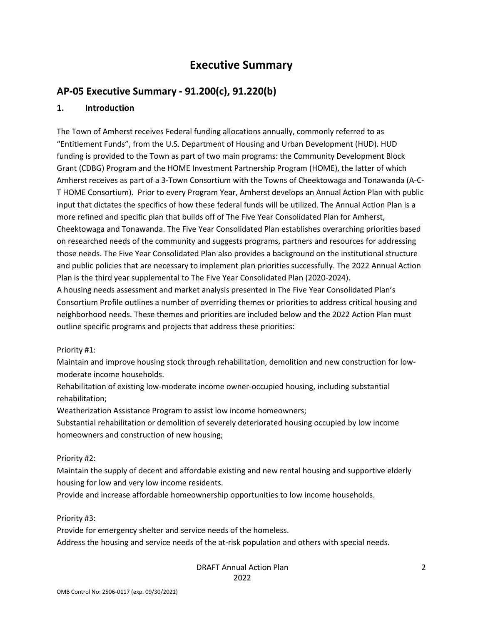# **Executive Summary**

# **AP-05 Executive Summary - 91.200(c), 91.220(b)**

### **1. Introduction**

The Town of Amherst receives Federal funding allocations annually, commonly referred to as "Entitlement Funds", from the U.S. Department of Housing and Urban Development (HUD). HUD funding is provided to the Town as part of two main programs: the Community Development Block Grant (CDBG) Program and the HOME Investment Partnership Program (HOME), the latter of which Amherst receives as part of a 3-Town Consortium with the Towns of Cheektowaga and Tonawanda (A-C-T HOME Consortium). Prior to every Program Year, Amherst develops an Annual Action Plan with public input that dictates the specifics of how these federal funds will be utilized. The Annual Action Plan is a more refined and specific plan that builds off of The Five Year Consolidated Plan for Amherst, Cheektowaga and Tonawanda. The Five Year Consolidated Plan establishes overarching priorities based on researched needs of the community and suggests programs, partners and resources for addressing those needs. The Five Year Consolidated Plan also provides a background on the institutional structure and public policies that are necessary to implement plan priorities successfully. The 2022 Annual Action Plan is the third year supplemental to The Five Year Consolidated Plan (2020-2024).

A housing needs assessment and market analysis presented in The Five Year Consolidated Plan's Consortium Profile outlines a number of overriding themes or priorities to address critical housing and neighborhood needs. These themes and priorities are included below and the 2022 Action Plan must outline specific programs and projects that address these priorities:

Priority #1:

Maintain and improve housing stock through rehabilitation, demolition and new construction for lowmoderate income households.

Rehabilitation of existing low-moderate income owner-occupied housing, including substantial rehabilitation;

Weatherization Assistance Program to assist low income homeowners;

Substantial rehabilitation or demolition of severely deteriorated housing occupied by low income homeowners and construction of new housing;

#### Priority #2:

Maintain the supply of decent and affordable existing and new rental housing and supportive elderly housing for low and very low income residents.

Provide and increase affordable homeownership opportunities to low income households.

Priority #3:

Provide for emergency shelter and service needs of the homeless.

Address the housing and service needs of the at-risk population and others with special needs.

#### DRAFT Annual Action Plan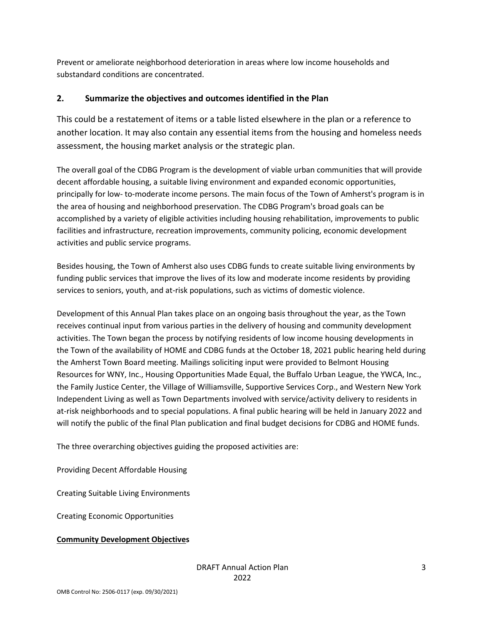Prevent or ameliorate neighborhood deterioration in areas where low income households and substandard conditions are concentrated.

### **2. Summarize the objectives and outcomes identified in the Plan**

This could be a restatement of items or a table listed elsewhere in the plan or a reference to another location. It may also contain any essential items from the housing and homeless needs assessment, the housing market analysis or the strategic plan.

The overall goal of the CDBG Program is the development of viable urban communities that will provide decent affordable housing, a suitable living environment and expanded economic opportunities, principally for low- to-moderate income persons. The main focus of the Town of Amherst's program is in the area of housing and neighborhood preservation. The CDBG Program's broad goals can be accomplished by a variety of eligible activities including housing rehabilitation, improvements to public facilities and infrastructure, recreation improvements, community policing, economic development activities and public service programs.

Besides housing, the Town of Amherst also uses CDBG funds to create suitable living environments by funding public services that improve the lives of its low and moderate income residents by providing services to seniors, youth, and at-risk populations, such as victims of domestic violence.

Development of this Annual Plan takes place on an ongoing basis throughout the year, as the Town receives continual input from various parties in the delivery of housing and community development activities. The Town began the process by notifying residents of low income housing developments in the Town of the availability of HOME and CDBG funds at the October 18, 2021 public hearing held during the Amherst Town Board meeting. Mailings soliciting input were provided to Belmont Housing Resources for WNY, Inc., Housing Opportunities Made Equal, the Buffalo Urban League, the YWCA, Inc., the Family Justice Center, the Village of Williamsville, Supportive Services Corp., and Western New York Independent Living as well as Town Departments involved with service/activity delivery to residents in at-risk neighborhoods and to special populations. A final public hearing will be held in January 2022 and will notify the public of the final Plan publication and final budget decisions for CDBG and HOME funds.

The three overarching objectives guiding the proposed activities are:

Providing Decent Affordable Housing

Creating Suitable Living Environments

Creating Economic Opportunities

#### **Community Development Objectives**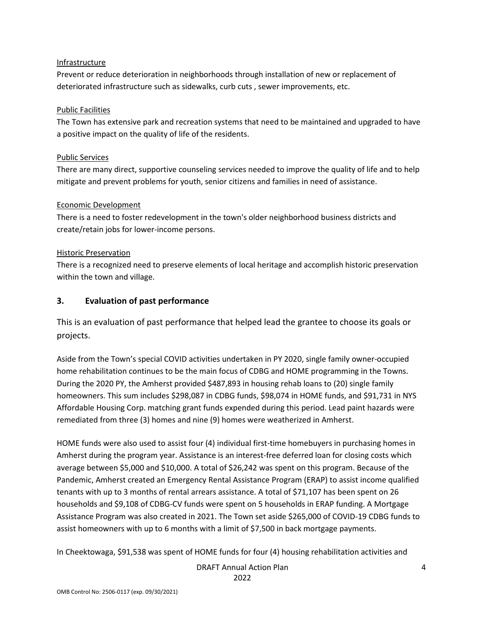#### Infrastructure

Prevent or reduce deterioration in neighborhoods through installation of new or replacement of deteriorated infrastructure such as sidewalks, curb cuts , sewer improvements, etc.

#### Public Facilities

The Town has extensive park and recreation systems that need to be maintained and upgraded to have a positive impact on the quality of life of the residents.

#### Public Services

There are many direct, supportive counseling services needed to improve the quality of life and to help mitigate and prevent problems for youth, senior citizens and families in need of assistance.

#### Economic Development

There is a need to foster redevelopment in the town's older neighborhood business districts and create/retain jobs for lower-income persons.

#### Historic Preservation

There is a recognized need to preserve elements of local heritage and accomplish historic preservation within the town and village.

#### **3. Evaluation of past performance**

This is an evaluation of past performance that helped lead the grantee to choose its goals or projects.

Aside from the Town's special COVID activities undertaken in PY 2020, single family owner-occupied home rehabilitation continues to be the main focus of CDBG and HOME programming in the Towns. During the 2020 PY, the Amherst provided \$487,893 in housing rehab loans to (20) single family homeowners. This sum includes \$298,087 in CDBG funds, \$98,074 in HOME funds, and \$91,731 in NYS Affordable Housing Corp. matching grant funds expended during this period. Lead paint hazards were remediated from three (3) homes and nine (9) homes were weatherized in Amherst.

HOME funds were also used to assist four (4) individual first-time homebuyers in purchasing homes in Amherst during the program year. Assistance is an interest-free deferred loan for closing costs which average between \$5,000 and \$10,000. A total of \$26,242 was spent on this program. Because of the Pandemic, Amherst created an Emergency Rental Assistance Program (ERAP) to assist income qualified tenants with up to 3 months of rental arrears assistance. A total of \$71,107 has been spent on 26 households and \$9,108 of CDBG-CV funds were spent on 5 households in ERAP funding. A Mortgage Assistance Program was also created in 2021. The Town set aside \$265,000 of COVID-19 CDBG funds to assist homeowners with up to 6 months with a limit of \$7,500 in back mortgage payments.

In Cheektowaga, \$91,538 was spent of HOME funds for four (4) housing rehabilitation activities and

DRAFT Annual Action Plan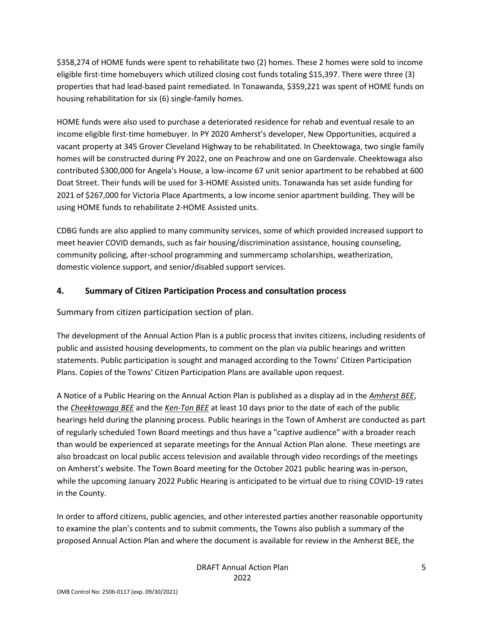\$358,274 of HOME funds were spent to rehabilitate two (2) homes. These 2 homes were sold to income eligible first-time homebuyers which utilized closing cost funds totaling \$15,397. There were three (3) properties that had lead-based paint remediated. In Tonawanda, \$359,221 was spent of HOME funds on housing rehabilitation for six (6) single-family homes.

HOME funds were also used to purchase a deteriorated residence for rehab and eventual resale to an income eligible first-time homebuyer. In PY 2020 Amherst's developer, New Opportunities, acquired a vacant property at 345 Grover Cleveland Highway to be rehabilitated. In Cheektowaga, two single family homes will be constructed during PY 2022, one on Peachrow and one on Gardenvale. Cheektowaga also contributed \$300,000 for Angela's House, a low-income 67 unit senior apartment to be rehabbed at 600 Doat Street. Their funds will be used for 3-HOME Assisted units. Tonawanda has set aside funding for 2021 of \$267,000 for Victoria Place Apartments, a low income senior apartment building. They will be using HOME funds to rehabilitate 2-HOME Assisted units.

CDBG funds are also applied to many community services, some of which provided increased support to meet heavier COVID demands, such as fair housing/discrimination assistance, housing counseling, community policing, after-school programming and summercamp scholarships, weatherization, domestic violence support, and senior/disabled support services.

### **4. Summary of Citizen Participation Process and consultation process**

Summary from citizen participation section of plan.

The development of the Annual Action Plan is a public process that invites citizens, including residents of public and assisted housing developments, to comment on the plan via public hearings and written statements. Public participation is sought and managed according to the Towns' Citizen Participation Plans. Copies of the Towns' Citizen Participation Plans are available upon request.

A Notice of a Public Hearing on the Annual Action Plan is published as a display ad in the *Amherst BEE*, the *Cheektowaga BEE* and the *Ken-Ton BEE* at least 10 days prior to the date of each of the public hearings held during the planning process. Public hearings in the Town of Amherst are conducted as part of regularly scheduled Town Board meetings and thus have a "captive audience" with a broader reach than would be experienced at separate meetings for the Annual Action Plan alone. These meetings are also broadcast on local public access television and available through video recordings of the meetings on Amherst's website. The Town Board meeting for the October 2021 public hearing was in-person, while the upcoming January 2022 Public Hearing is anticipated to be virtual due to rising COVID-19 rates in the County.

In order to afford citizens, public agencies, and other interested parties another reasonable opportunity to examine the plan's contents and to submit comments, the Towns also publish a summary of the proposed Annual Action Plan and where the document is available for review in the Amherst BEE, the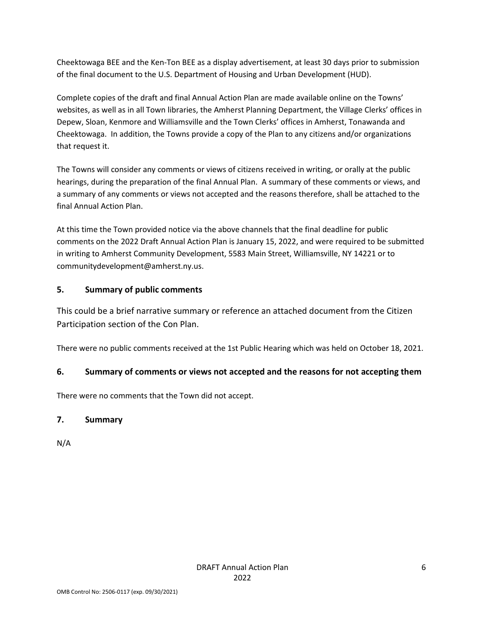Cheektowaga BEE and the Ken-Ton BEE as a display advertisement, at least 30 days prior to submission of the final document to the U.S. Department of Housing and Urban Development (HUD).

Complete copies of the draft and final Annual Action Plan are made available online on the Towns' websites, as well as in all Town libraries, the Amherst Planning Department, the Village Clerks' offices in Depew, Sloan, Kenmore and Williamsville and the Town Clerks' offices in Amherst, Tonawanda and Cheektowaga. In addition, the Towns provide a copy of the Plan to any citizens and/or organizations that request it.

The Towns will consider any comments or views of citizens received in writing, or orally at the public hearings, during the preparation of the final Annual Plan. A summary of these comments or views, and a summary of any comments or views not accepted and the reasons therefore, shall be attached to the final Annual Action Plan.

At this time the Town provided notice via the above channels that the final deadline for public comments on the 2022 Draft Annual Action Plan is January 15, 2022, and were required to be submitted in writing to Amherst Community Development, 5583 Main Street, Williamsville, NY 14221 or to communitydevelopment@amherst.ny.us.

# **5. Summary of public comments**

This could be a brief narrative summary or reference an attached document from the Citizen Participation section of the Con Plan.

There were no public comments received at the 1st Public Hearing which was held on October 18, 2021.

# **6. Summary of comments or views not accepted and the reasons for not accepting them**

There were no comments that the Town did not accept.

# **7. Summary**

N/A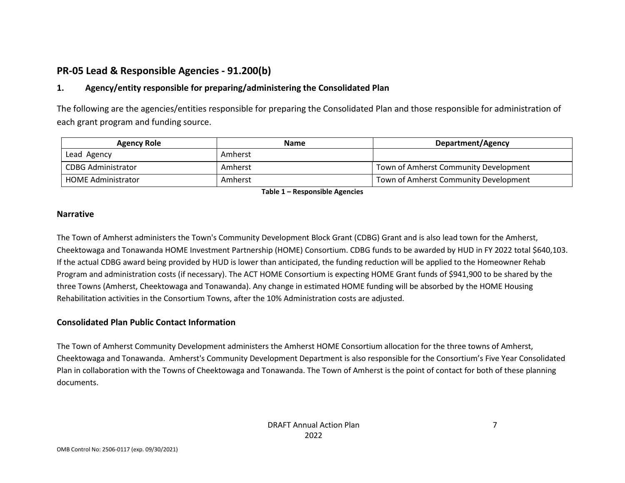# **PR-05 Lead & Responsible Agencies - 91.200(b)**

# **1. Agency/entity responsible for preparing/administering the Consolidated Plan**

The following are the agencies/entities responsible for preparing the Consolidated Plan and those responsible for administration of each grant program and funding source.

| <b>Agency Role</b>        | <b>Name</b> | Department/Agency                     |
|---------------------------|-------------|---------------------------------------|
| Lead Agency               | Amherst     |                                       |
| CDBG Administrator        | Amherst     | Town of Amherst Community Development |
| <b>HOME Administrator</b> | Amherst     | Town of Amherst Community Development |

**Table 1 – Responsible Agencies** 

#### **Narrative**

The Town of Amherst administers the Town's Community Development Block Grant (CDBG) Grant and is also lead town for the Amherst, Cheektowaga and Tonawanda HOME Investment Partnership (HOME) Consortium. CDBG funds to be awarded by HUD in FY 2022 total \$640,103. If the actual CDBG award being provided by HUD is lower than anticipated, the funding reduction will be applied to the Homeowner Rehab Program and administration costs (if necessary). The ACT HOME Consortium is expecting HOME Grant funds of \$941,900 to be shared by the three Towns (Amherst, Cheektowaga and Tonawanda). Any change in estimated HOME funding will be absorbed by the HOME Housing Rehabilitation activities in the Consortium Towns, after the 10% Administration costs are adjusted.

### **Consolidated Plan Public Contact Information**

The Town of Amherst Community Development administers the Amherst HOME Consortium allocation for the three towns of Amherst, Cheektowaga and Tonawanda. Amherst's Community Development Department is also responsible for the Consortium's Five Year Consolidated Plan in collaboration with the Towns of Cheektowaga and Tonawanda. The Town of Amherst is the point of contact for both of these planning documents.

7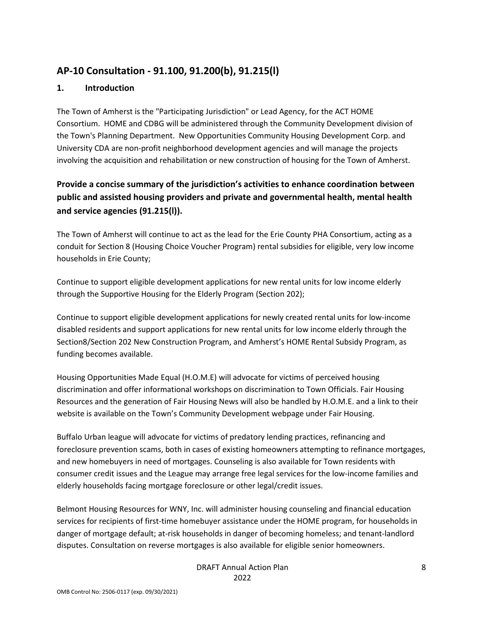# **AP-10 Consultation - 91.100, 91.200(b), 91.215(l)**

### **1. Introduction**

The Town of Amherst is the "Participating Jurisdiction" or Lead Agency, for the ACT HOME Consortium. HOME and CDBG will be administered through the Community Development division of the Town's Planning Department. New Opportunities Community Housing Development Corp. and University CDA are non-profit neighborhood development agencies and will manage the projects involving the acquisition and rehabilitation or new construction of housing for the Town of Amherst.

# **Provide a concise summary of the jurisdiction's activities to enhance coordination between public and assisted housing providers and private and governmental health, mental health and service agencies (91.215(l)).**

The Town of Amherst will continue to act as the lead for the Erie County PHA Consortium, acting as a conduit for Section 8 (Housing Choice Voucher Program) rental subsidies for eligible, very low income households in Erie County;

Continue to support eligible development applications for new rental units for low income elderly through the Supportive Housing for the Elderly Program (Section 202);

Continue to support eligible development applications for newly created rental units for low-income disabled residents and support applications for new rental units for low income elderly through the Section8/Section 202 New Construction Program, and Amherst's HOME Rental Subsidy Program, as funding becomes available.

Housing Opportunities Made Equal (H.O.M.E) will advocate for victims of perceived housing discrimination and offer informational workshops on discrimination to Town Officials. Fair Housing Resources and the generation of Fair Housing News will also be handled by H.O.M.E. and a link to their website is available on the Town's Community Development webpage under Fair Housing.

Buffalo Urban league will advocate for victims of predatory lending practices, refinancing and foreclosure prevention scams, both in cases of existing homeowners attempting to refinance mortgages, and new homebuyers in need of mortgages. Counseling is also available for Town residents with consumer credit issues and the League may arrange free legal services for the low-income families and elderly households facing mortgage foreclosure or other legal/credit issues.

Belmont Housing Resources for WNY, Inc. will administer housing counseling and financial education services for recipients of first-time homebuyer assistance under the HOME program, for households in danger of mortgage default; at-risk households in danger of becoming homeless; and tenant-landlord disputes. Consultation on reverse mortgages is also available for eligible senior homeowners.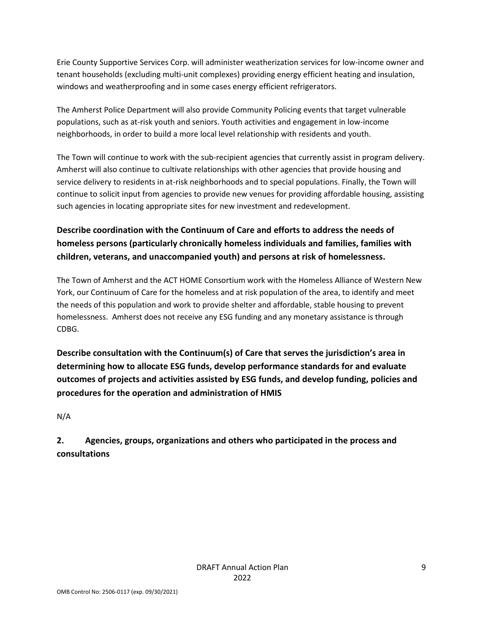Erie County Supportive Services Corp. will administer weatherization services for low-income owner and tenant households (excluding multi-unit complexes) providing energy efficient heating and insulation, windows and weatherproofing and in some cases energy efficient refrigerators.

The Amherst Police Department will also provide Community Policing events that target vulnerable populations, such as at-risk youth and seniors. Youth activities and engagement in low-income neighborhoods, in order to build a more local level relationship with residents and youth.

The Town will continue to work with the sub-recipient agencies that currently assist in program delivery. Amherst will also continue to cultivate relationships with other agencies that provide housing and service delivery to residents in at-risk neighborhoods and to special populations. Finally, the Town will continue to solicit input from agencies to provide new venues for providing affordable housing, assisting such agencies in locating appropriate sites for new investment and redevelopment.

# **Describe coordination with the Continuum of Care and efforts to address the needs of homeless persons (particularly chronically homeless individuals and families, families with children, veterans, and unaccompanied youth) and persons at risk of homelessness.**

The Town of Amherst and the ACT HOME Consortium work with the Homeless Alliance of Western New York, our Continuum of Care for the homeless and at risk population of the area, to identify and meet the needs of this population and work to provide shelter and affordable, stable housing to prevent homelessness. Amherst does not receive any ESG funding and any monetary assistance is through CDBG.

**Describe consultation with the Continuum(s) of Care that serves the jurisdiction's area in determining how to allocate ESG funds, develop performance standards for and evaluate outcomes of projects and activities assisted by ESG funds, and develop funding, policies and procedures for the operation and administration of HMIS** 

N/A

**2. Agencies, groups, organizations and others who participated in the process and consultations**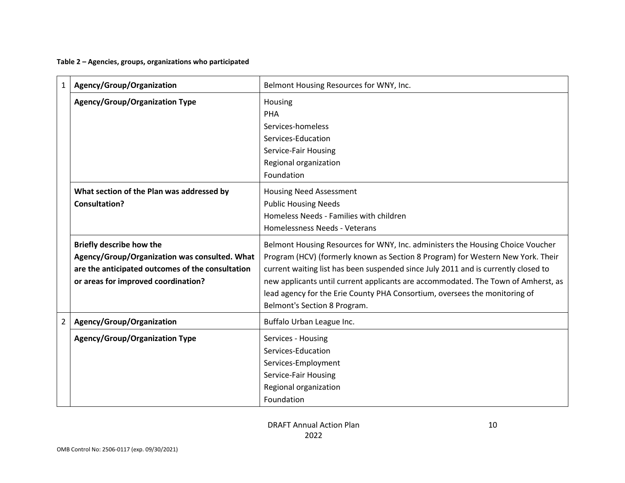**Table 2 – Agencies, groups, organizations who participated** 

| 1              | Agency/Group/Organization                        | Belmont Housing Resources for WNY, Inc.                                            |
|----------------|--------------------------------------------------|------------------------------------------------------------------------------------|
|                | <b>Agency/Group/Organization Type</b>            | Housing                                                                            |
|                |                                                  | PHA                                                                                |
|                |                                                  | Services-homeless                                                                  |
|                |                                                  | Services-Education                                                                 |
|                |                                                  | Service-Fair Housing                                                               |
|                |                                                  | Regional organization                                                              |
|                |                                                  | Foundation                                                                         |
|                | What section of the Plan was addressed by        | <b>Housing Need Assessment</b>                                                     |
|                | Consultation?                                    | <b>Public Housing Needs</b>                                                        |
|                |                                                  | Homeless Needs - Families with children                                            |
|                |                                                  | Homelessness Needs - Veterans                                                      |
|                | <b>Briefly describe how the</b>                  | Belmont Housing Resources for WNY, Inc. administers the Housing Choice Voucher     |
|                | Agency/Group/Organization was consulted. What    | Program (HCV) (formerly known as Section 8 Program) for Western New York. Their    |
|                | are the anticipated outcomes of the consultation | current waiting list has been suspended since July 2011 and is currently closed to |
|                | or areas for improved coordination?              | new applicants until current applicants are accommodated. The Town of Amherst, as  |
|                |                                                  | lead agency for the Erie County PHA Consortium, oversees the monitoring of         |
|                |                                                  | Belmont's Section 8 Program.                                                       |
| $\overline{2}$ | Agency/Group/Organization                        | Buffalo Urban League Inc.                                                          |
|                | Agency/Group/Organization Type                   | Services - Housing                                                                 |
|                |                                                  | Services-Education                                                                 |
|                |                                                  | Services-Employment                                                                |
|                |                                                  | Service-Fair Housing                                                               |
|                |                                                  | Regional organization                                                              |
|                |                                                  | Foundation                                                                         |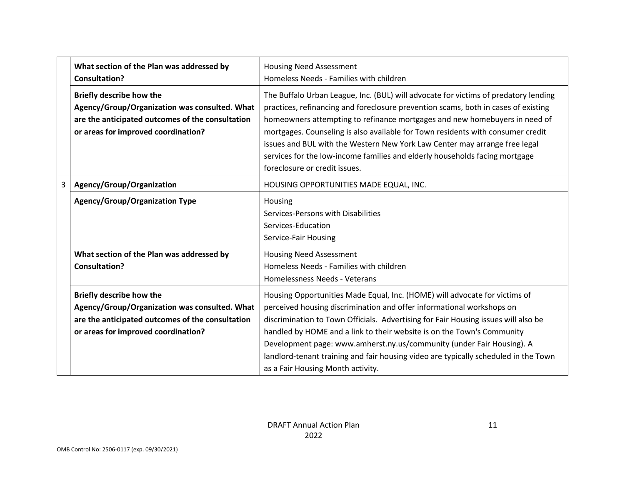|   | What section of the Plan was addressed by<br><b>Consultation?</b>                                                                                                           | <b>Housing Need Assessment</b><br>Homeless Needs - Families with children                                                                                                                                                                                                                                                                                                                                                                                                                                                                |
|---|-----------------------------------------------------------------------------------------------------------------------------------------------------------------------------|------------------------------------------------------------------------------------------------------------------------------------------------------------------------------------------------------------------------------------------------------------------------------------------------------------------------------------------------------------------------------------------------------------------------------------------------------------------------------------------------------------------------------------------|
|   | <b>Briefly describe how the</b><br>Agency/Group/Organization was consulted. What<br>are the anticipated outcomes of the consultation<br>or areas for improved coordination? | The Buffalo Urban League, Inc. (BUL) will advocate for victims of predatory lending<br>practices, refinancing and foreclosure prevention scams, both in cases of existing<br>homeowners attempting to refinance mortgages and new homebuyers in need of<br>mortgages. Counseling is also available for Town residents with consumer credit<br>issues and BUL with the Western New York Law Center may arrange free legal<br>services for the low-income families and elderly households facing mortgage<br>foreclosure or credit issues. |
| 3 | Agency/Group/Organization                                                                                                                                                   | HOUSING OPPORTUNITIES MADE EQUAL, INC.                                                                                                                                                                                                                                                                                                                                                                                                                                                                                                   |
|   | <b>Agency/Group/Organization Type</b>                                                                                                                                       | Housing<br>Services-Persons with Disabilities<br>Services-Education<br>Service-Fair Housing                                                                                                                                                                                                                                                                                                                                                                                                                                              |
|   | What section of the Plan was addressed by<br><b>Consultation?</b>                                                                                                           | <b>Housing Need Assessment</b><br>Homeless Needs - Families with children<br>Homelessness Needs - Veterans                                                                                                                                                                                                                                                                                                                                                                                                                               |
|   | Briefly describe how the<br>Agency/Group/Organization was consulted. What<br>are the anticipated outcomes of the consultation<br>or areas for improved coordination?        | Housing Opportunities Made Equal, Inc. (HOME) will advocate for victims of<br>perceived housing discrimination and offer informational workshops on<br>discrimination to Town Officials. Advertising for Fair Housing issues will also be<br>handled by HOME and a link to their website is on the Town's Community<br>Development page: www.amherst.ny.us/community (under Fair Housing). A<br>landlord-tenant training and fair housing video are typically scheduled in the Town<br>as a Fair Housing Month activity.                 |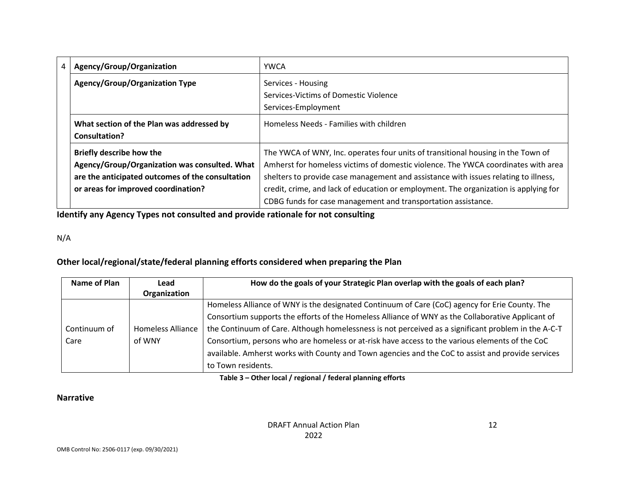| 4 | Agency/Group/Organization                        | <b>YWCA</b>                                                                          |  |  |  |
|---|--------------------------------------------------|--------------------------------------------------------------------------------------|--|--|--|
|   | <b>Agency/Group/Organization Type</b>            | Services - Housing                                                                   |  |  |  |
|   |                                                  | Services-Victims of Domestic Violence                                                |  |  |  |
|   |                                                  | Services-Employment                                                                  |  |  |  |
|   | What section of the Plan was addressed by        | Homeless Needs - Families with children                                              |  |  |  |
|   | Consultation?                                    |                                                                                      |  |  |  |
|   | Briefly describe how the                         | The YWCA of WNY, Inc. operates four units of transitional housing in the Town of     |  |  |  |
|   | Agency/Group/Organization was consulted. What    | Amherst for homeless victims of domestic violence. The YWCA coordinates with area    |  |  |  |
|   | are the anticipated outcomes of the consultation | shelters to provide case management and assistance with issues relating to illness,  |  |  |  |
|   | or areas for improved coordination?              | credit, crime, and lack of education or employment. The organization is applying for |  |  |  |
|   |                                                  | CDBG funds for case management and transportation assistance.                        |  |  |  |

**Identify any Agency Types not consulted and provide rationale for not consulting** 

N/A

# **Other local/regional/state/federal planning efforts considered when preparing the Plan**

| Name of Plan | Lead                     | How do the goals of your Strategic Plan overlap with the goals of each plan?                        |
|--------------|--------------------------|-----------------------------------------------------------------------------------------------------|
|              | Organization             |                                                                                                     |
|              |                          | Homeless Alliance of WNY is the designated Continuum of Care (CoC) agency for Erie County. The      |
|              |                          | Consortium supports the efforts of the Homeless Alliance of WNY as the Collaborative Applicant of   |
| Continuum of | <b>Homeless Alliance</b> | the Continuum of Care. Although homelessness is not perceived as a significant problem in the A-C-T |
| Care         | of WNY                   | Consortium, persons who are homeless or at-risk have access to the various elements of the CoC      |
|              |                          | available. Amherst works with County and Town agencies and the CoC to assist and provide services   |
|              |                          | to Town residents.                                                                                  |

**Table 3 – Other local / regional / federal planning efforts** 

# **Narrative**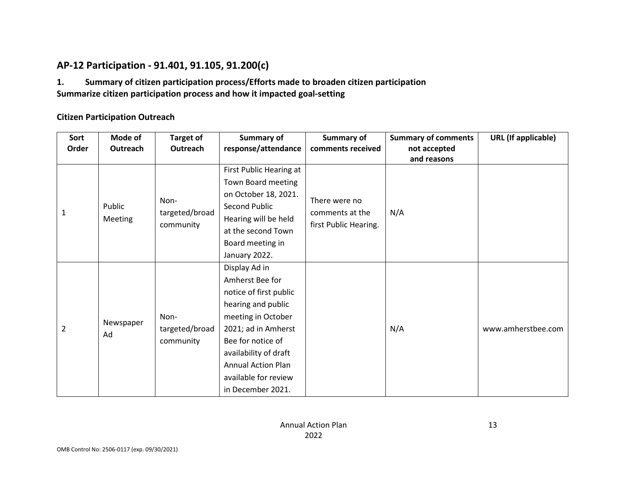# **AP-12 Participation - 91.401, 91.105, 91.200(c)**

# **1. Summary of citizen participation process/Efforts made to broaden citizen participation Summarize citizen participation process and how it impacted goal-setting**

### **Citizen Participation Outreach**

| Sort<br>Order  | Mode of<br>Outreach | <b>Target of</b><br>Outreach        | Summary of<br>response/attendance                                                                                                                                                                                                                     | <b>Summary of</b><br>comments received                    | <b>Summary of comments</b><br>not accepted<br>and reasons | <b>URL</b> (If applicable) |
|----------------|---------------------|-------------------------------------|-------------------------------------------------------------------------------------------------------------------------------------------------------------------------------------------------------------------------------------------------------|-----------------------------------------------------------|-----------------------------------------------------------|----------------------------|
| 1              | Public<br>Meeting   | Non-<br>targeted/broad<br>community | First Public Hearing at<br>Town Board meeting<br>on October 18, 2021.<br><b>Second Public</b><br>Hearing will be held<br>at the second Town<br>Board meeting in<br>January 2022.                                                                      | There were no<br>comments at the<br>first Public Hearing. | N/A                                                       |                            |
| $\overline{2}$ | Newspaper<br>Ad     | Non-<br>targeted/broad<br>community | Display Ad in<br>Amherst Bee for<br>notice of first public<br>hearing and public<br>meeting in October<br>2021; ad in Amherst<br>Bee for notice of<br>availability of draft<br><b>Annual Action Plan</b><br>available for review<br>in December 2021. |                                                           | N/A                                                       | www.amherstbee.com         |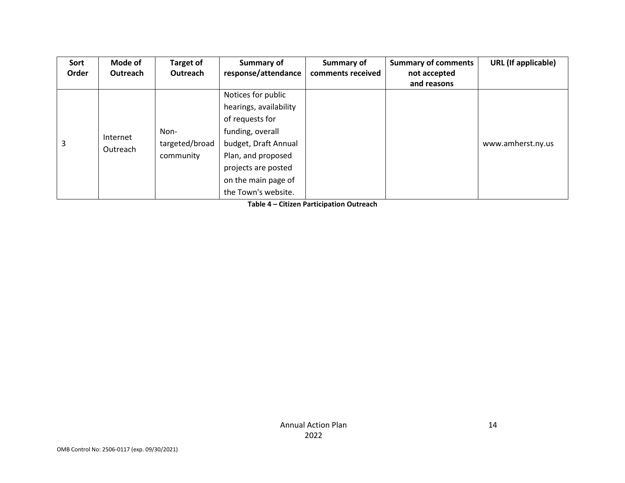| Sort  | Mode of  | <b>Target of</b> | Summary of             | Summary of        | <b>Summary of comments</b> | <b>URL</b> (If applicable) |
|-------|----------|------------------|------------------------|-------------------|----------------------------|----------------------------|
| Order | Outreach | Outreach         | response/attendance    | comments received | not accepted               |                            |
|       |          |                  |                        |                   | and reasons                |                            |
|       |          |                  | Notices for public     |                   |                            |                            |
|       |          |                  | hearings, availability |                   |                            |                            |
|       |          |                  | of requests for        |                   |                            |                            |
|       | Internet | Non-             | funding, overall       |                   |                            |                            |
| 3     |          | targeted/broad   | budget, Draft Annual   |                   |                            | www.amherst.ny.us          |
|       | Outreach | community        | Plan, and proposed     |                   |                            |                            |
|       |          |                  | projects are posted    |                   |                            |                            |
|       |          |                  | on the main page of    |                   |                            |                            |
|       |          |                  | the Town's website.    |                   |                            |                            |

**Table 4 – Citizen Participation Outreach**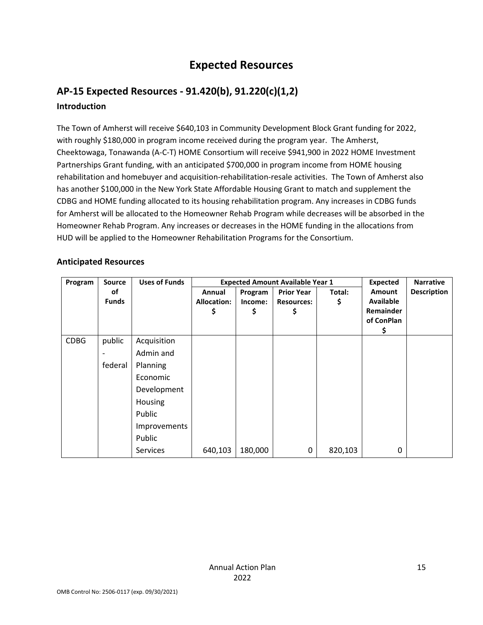# **Expected Resources**

# **AP-15 Expected Resources - 91.420(b), 91.220(c)(1,2) Introduction**

The Town of Amherst will receive \$640,103 in Community Development Block Grant funding for 2022, with roughly \$180,000 in program income received during the program year. The Amherst, Cheektowaga, Tonawanda (A-C-T) HOME Consortium will receive \$941,900 in 2022 HOME Investment Partnerships Grant funding, with an anticipated \$700,000 in program income from HOME housing rehabilitation and homebuyer and acquisition-rehabilitation-resale activities. The Town of Amherst also has another \$100,000 in the New York State Affordable Housing Grant to match and supplement the CDBG and HOME funding allocated to its housing rehabilitation program. Any increases in CDBG funds for Amherst will be allocated to the Homeowner Rehab Program while decreases will be absorbed in the Homeowner Rehab Program. Any increases or decreases in the HOME funding in the allocations from HUD will be applied to the Homeowner Rehabilitation Programs for the Consortium.

#### **Anticipated Resources**

| Program     | <b>Source</b> | <b>Uses of Funds</b> | <b>Expected Amount Available Year 1</b> |         |                   |         | <b>Expected</b> | <b>Narrative</b>   |
|-------------|---------------|----------------------|-----------------------------------------|---------|-------------------|---------|-----------------|--------------------|
|             | οf            |                      | Annual                                  | Program | <b>Prior Year</b> | Total:  | Amount          | <b>Description</b> |
|             | <b>Funds</b>  |                      | <b>Allocation:</b>                      | Income: | <b>Resources:</b> | \$      | Available       |                    |
|             |               |                      | \$                                      | \$      | \$                |         | Remainder       |                    |
|             |               |                      |                                         |         |                   |         | of ConPlan      |                    |
|             |               |                      |                                         |         |                   |         | Ş               |                    |
| <b>CDBG</b> | public        | Acquisition          |                                         |         |                   |         |                 |                    |
|             |               | Admin and            |                                         |         |                   |         |                 |                    |
|             | federal       | Planning             |                                         |         |                   |         |                 |                    |
|             |               | Economic             |                                         |         |                   |         |                 |                    |
|             |               | Development          |                                         |         |                   |         |                 |                    |
|             |               | Housing              |                                         |         |                   |         |                 |                    |
|             |               | Public               |                                         |         |                   |         |                 |                    |
|             |               | Improvements         |                                         |         |                   |         |                 |                    |
|             |               | Public               |                                         |         |                   |         |                 |                    |
|             |               | Services             | 640,103                                 | 180,000 | 0                 | 820,103 | 0               |                    |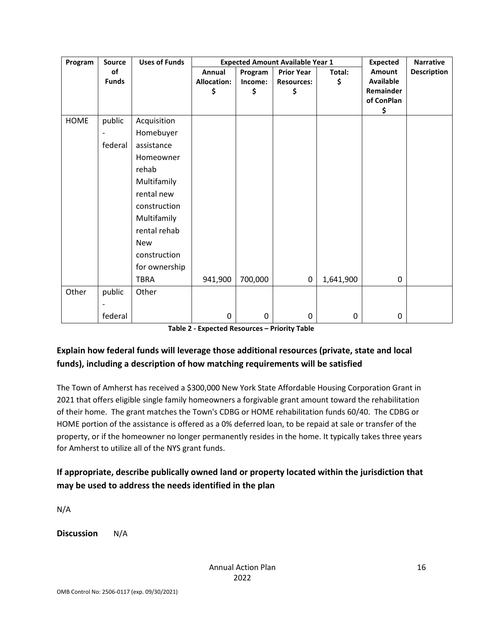| Program     | <b>Source</b> | <b>Uses of Funds</b> |                    |             | <b>Expected Amount Available Year 1</b> |           | <b>Expected</b>         | <b>Narrative</b>   |
|-------------|---------------|----------------------|--------------------|-------------|-----------------------------------------|-----------|-------------------------|--------------------|
|             | of            |                      | Annual             | Program     | <b>Prior Year</b>                       | Total:    | <b>Amount</b>           | <b>Description</b> |
|             | <b>Funds</b>  |                      | <b>Allocation:</b> | Income:     | <b>Resources:</b>                       | \$        | <b>Available</b>        |                    |
|             |               |                      | \$                 | \$          | \$                                      |           | Remainder<br>of ConPlan |                    |
|             |               |                      |                    |             |                                         |           | \$                      |                    |
| <b>HOME</b> | public        | Acquisition          |                    |             |                                         |           |                         |                    |
|             |               | Homebuyer            |                    |             |                                         |           |                         |                    |
|             | federal       | assistance           |                    |             |                                         |           |                         |                    |
|             |               | Homeowner            |                    |             |                                         |           |                         |                    |
|             |               | rehab                |                    |             |                                         |           |                         |                    |
|             |               | Multifamily          |                    |             |                                         |           |                         |                    |
|             |               | rental new           |                    |             |                                         |           |                         |                    |
|             |               | construction         |                    |             |                                         |           |                         |                    |
|             |               | Multifamily          |                    |             |                                         |           |                         |                    |
|             |               | rental rehab         |                    |             |                                         |           |                         |                    |
|             |               | <b>New</b>           |                    |             |                                         |           |                         |                    |
|             |               | construction         |                    |             |                                         |           |                         |                    |
|             |               | for ownership        |                    |             |                                         |           |                         |                    |
|             |               | <b>TBRA</b>          | 941,900            | 700,000     | 0                                       | 1,641,900 | $\mathbf 0$             |                    |
| Other       | public        | Other                |                    |             |                                         |           |                         |                    |
|             |               |                      |                    |             |                                         |           |                         |                    |
|             | federal       |                      | 0                  | $\mathbf 0$ | 0                                       | $\pmb{0}$ | 0                       |                    |

| Table 2 - Expected Resources - Priority Table |  |  |  |  |
|-----------------------------------------------|--|--|--|--|
|-----------------------------------------------|--|--|--|--|

# **Explain how federal funds will leverage those additional resources (private, state and local funds), including a description of how matching requirements will be satisfied**

The Town of Amherst has received a \$300,000 New York State Affordable Housing Corporation Grant in 2021 that offers eligible single family homeowners a forgivable grant amount toward the rehabilitation of their home. The grant matches the Town's CDBG or HOME rehabilitation funds 60/40. The CDBG or HOME portion of the assistance is offered as a 0% deferred loan, to be repaid at sale or transfer of the property, or if the homeowner no longer permanently resides in the home. It typically takes three years for Amherst to utilize all of the NYS grant funds.

# **If appropriate, describe publically owned land or property located within the jurisdiction that may be used to address the needs identified in the plan**

N/A

**Discussion** N/A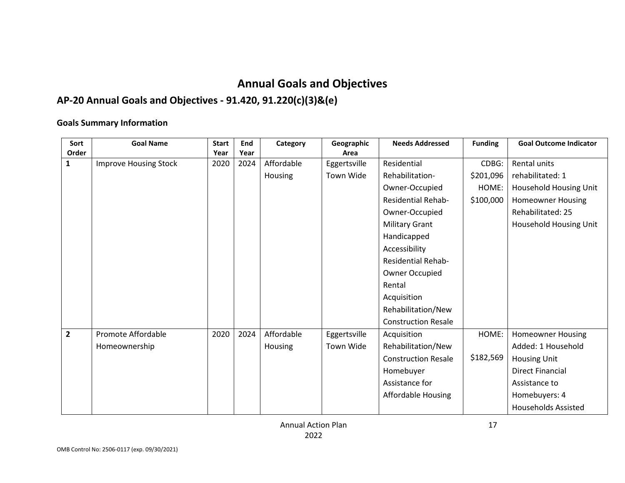# **Annual Goals and Objectives**

# **AP-20 Annual Goals and Objectives - 91.420, 91.220(c)(3)&(e)**

### **Goals Summary Information**

| Sort           | <b>Goal Name</b>             | <b>Start</b> | End  | Category   | Geographic   | <b>Needs Addressed</b>     | <b>Funding</b> | <b>Goal Outcome Indicator</b> |
|----------------|------------------------------|--------------|------|------------|--------------|----------------------------|----------------|-------------------------------|
| Order          |                              | Year         | Year |            | Area         |                            |                |                               |
| 1              | <b>Improve Housing Stock</b> | 2020         | 2024 | Affordable | Eggertsville | Residential                | CDBG:          | Rental units                  |
|                |                              |              |      | Housing    | Town Wide    | Rehabilitation-            | \$201,096      | rehabilitated: 1              |
|                |                              |              |      |            |              | Owner-Occupied             | HOME:          | Household Housing Unit        |
|                |                              |              |      |            |              | <b>Residential Rehab-</b>  | \$100,000      | <b>Homeowner Housing</b>      |
|                |                              |              |      |            |              | Owner-Occupied             |                | Rehabilitated: 25             |
|                |                              |              |      |            |              | <b>Military Grant</b>      |                | Household Housing Unit        |
|                |                              |              |      |            |              | Handicapped                |                |                               |
|                |                              |              |      |            |              | Accessibility              |                |                               |
|                |                              |              |      |            |              | <b>Residential Rehab-</b>  |                |                               |
|                |                              |              |      |            |              | Owner Occupied             |                |                               |
|                |                              |              |      |            |              | Rental                     |                |                               |
|                |                              |              |      |            |              | Acquisition                |                |                               |
|                |                              |              |      |            |              | Rehabilitation/New         |                |                               |
|                |                              |              |      |            |              | <b>Construction Resale</b> |                |                               |
| $\overline{2}$ | Promote Affordable           | 2020         | 2024 | Affordable | Eggertsville | Acquisition                | HOME:          | <b>Homeowner Housing</b>      |
|                | Homeownership                |              |      | Housing    | Town Wide    | Rehabilitation/New         |                | Added: 1 Household            |
|                |                              |              |      |            |              | <b>Construction Resale</b> | \$182,569      | <b>Housing Unit</b>           |
|                |                              |              |      |            |              | Homebuyer                  |                | <b>Direct Financial</b>       |
|                |                              |              |      |            |              | Assistance for             |                | Assistance to                 |
|                |                              |              |      |            |              | Affordable Housing         |                | Homebuyers: 4                 |
|                |                              |              |      |            |              |                            |                | <b>Households Assisted</b>    |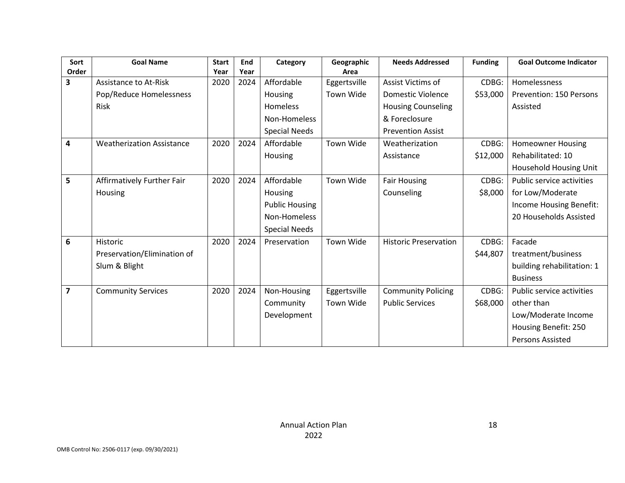| Sort           | <b>Goal Name</b>                 | <b>Start</b> | End  | Category              | Geographic   | <b>Needs Addressed</b>       | <b>Funding</b> | <b>Goal Outcome Indicator</b> |
|----------------|----------------------------------|--------------|------|-----------------------|--------------|------------------------------|----------------|-------------------------------|
| Order          |                                  | Year         | Year |                       | Area         |                              |                |                               |
| 3              | <b>Assistance to At-Risk</b>     | 2020         | 2024 | Affordable            | Eggertsville | Assist Victims of            | CDBG:          | Homelessness                  |
|                | Pop/Reduce Homelessness          |              |      | Housing               | Town Wide    | <b>Domestic Violence</b>     | \$53,000       | Prevention: 150 Persons       |
|                | Risk                             |              |      | Homeless              |              | <b>Housing Counseling</b>    |                | Assisted                      |
|                |                                  |              |      | Non-Homeless          |              | & Foreclosure                |                |                               |
|                |                                  |              |      | <b>Special Needs</b>  |              | <b>Prevention Assist</b>     |                |                               |
| 4              | <b>Weatherization Assistance</b> | 2020         | 2024 | Affordable            | Town Wide    | Weatherization               | CDBG:          | <b>Homeowner Housing</b>      |
|                |                                  |              |      | Housing               |              | Assistance                   | \$12,000       | Rehabilitated: 10             |
|                |                                  |              |      |                       |              |                              |                | Household Housing Unit        |
| 5              | Affirmatively Further Fair       | 2020         | 2024 | Affordable            | Town Wide    | <b>Fair Housing</b>          | CDBG:          | Public service activities     |
|                | Housing                          |              |      | Housing               |              | Counseling                   | \$8,000        | for Low/Moderate              |
|                |                                  |              |      | <b>Public Housing</b> |              |                              |                | Income Housing Benefit:       |
|                |                                  |              |      | Non-Homeless          |              |                              |                | 20 Households Assisted        |
|                |                                  |              |      | <b>Special Needs</b>  |              |                              |                |                               |
| 6              | Historic                         | 2020         | 2024 | Preservation          | Town Wide    | <b>Historic Preservation</b> | CDBG:          | Facade                        |
|                | Preservation/Elimination of      |              |      |                       |              |                              | \$44,807       | treatment/business            |
|                | Slum & Blight                    |              |      |                       |              |                              |                | building rehabilitation: 1    |
|                |                                  |              |      |                       |              |                              |                | <b>Business</b>               |
| $\overline{7}$ | <b>Community Services</b>        | 2020         | 2024 | Non-Housing           | Eggertsville | <b>Community Policing</b>    | CDBG:          | Public service activities     |
|                |                                  |              |      | Community             | Town Wide    | <b>Public Services</b>       | \$68,000       | other than                    |
|                |                                  |              |      | Development           |              |                              |                | Low/Moderate Income           |
|                |                                  |              |      |                       |              |                              |                | Housing Benefit: 250          |
|                |                                  |              |      |                       |              |                              |                | Persons Assisted              |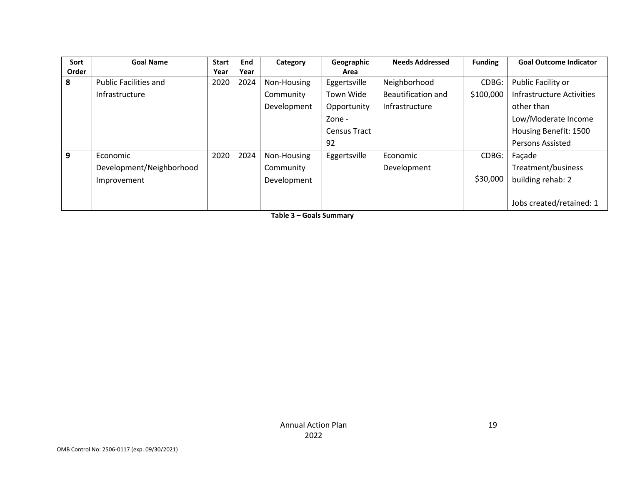| Sort  | <b>Goal Name</b>             | <b>Start</b> | End  | Category    | Geographic          | <b>Needs Addressed</b> | <b>Funding</b> | <b>Goal Outcome Indicator</b>    |
|-------|------------------------------|--------------|------|-------------|---------------------|------------------------|----------------|----------------------------------|
| Order |                              | Year         | Year |             | Area                |                        |                |                                  |
| 8     | <b>Public Facilities and</b> | 2020         | 2024 | Non-Housing | Eggertsville        | Neighborhood           | CDBG:          | Public Facility or               |
|       | Infrastructure               |              |      | Community   | Town Wide           | Beautification and     | \$100,000      | <b>Infrastructure Activities</b> |
|       |                              |              |      | Development | Opportunity         | Infrastructure         |                | other than                       |
|       |                              |              |      |             | Zone -              |                        |                | Low/Moderate Income              |
|       |                              |              |      |             | <b>Census Tract</b> |                        |                | Housing Benefit: 1500            |
|       |                              |              |      |             | 92                  |                        |                | <b>Persons Assisted</b>          |
| 9     | Economic                     | 2020         | 2024 | Non-Housing | Eggertsville        | Economic               | CDBG:          | Façade                           |
|       | Development/Neighborhood     |              |      | Community   |                     | Development            |                | Treatment/business               |
|       | Improvement                  |              |      | Development |                     |                        | \$30,000       | building rehab: 2                |
|       |                              |              |      |             |                     |                        |                |                                  |
|       |                              |              |      |             |                     |                        |                | Jobs created/retained: 1         |

**Table 3 – Goals Summary**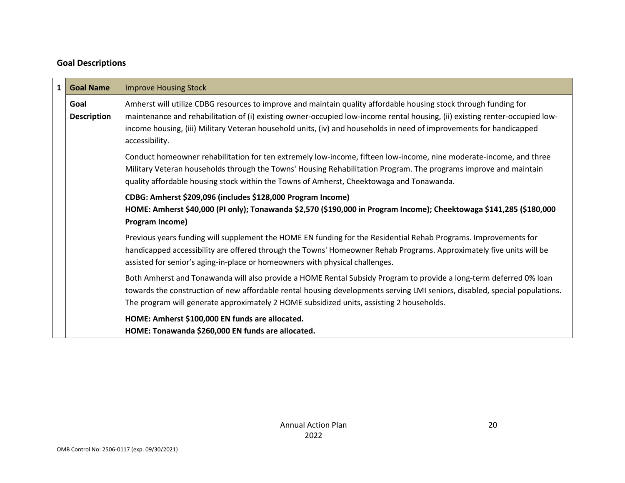# **Goal Descriptions**

| $\mathbf{1}$                                                                             | <b>Goal Name</b>           | <b>Improve Housing Stock</b>                                                                                                                                                                                                                                                                                                                                                             |
|------------------------------------------------------------------------------------------|----------------------------|------------------------------------------------------------------------------------------------------------------------------------------------------------------------------------------------------------------------------------------------------------------------------------------------------------------------------------------------------------------------------------------|
|                                                                                          | Goal<br><b>Description</b> | Amherst will utilize CDBG resources to improve and maintain quality affordable housing stock through funding for<br>maintenance and rehabilitation of (i) existing owner-occupied low-income rental housing, (ii) existing renter-occupied low-<br>income housing, (iii) Military Veteran household units, (iv) and households in need of improvements for handicapped<br>accessibility. |
| quality affordable housing stock within the Towns of Amherst, Cheektowaga and Tonawanda. |                            | Conduct homeowner rehabilitation for ten extremely low-income, fifteen low-income, nine moderate-income, and three<br>Military Veteran households through the Towns' Housing Rehabilitation Program. The programs improve and maintain                                                                                                                                                   |
| Program Income)                                                                          |                            | CDBG: Amherst \$209,096 (includes \$128,000 Program Income)<br>HOME: Amherst \$40,000 (PI only); Tonawanda \$2,570 (\$190,000 in Program Income); Cheektowaga \$141,285 (\$180,000                                                                                                                                                                                                       |
|                                                                                          |                            | Previous years funding will supplement the HOME EN funding for the Residential Rehab Programs. Improvements for<br>handicapped accessibility are offered through the Towns' Homeowner Rehab Programs. Approximately five units will be<br>assisted for senior's aging-in-place or homeowners with physical challenges.                                                                   |
|                                                                                          |                            | Both Amherst and Tonawanda will also provide a HOME Rental Subsidy Program to provide a long-term deferred 0% loan<br>towards the construction of new affordable rental housing developments serving LMI seniors, disabled, special populations.<br>The program will generate approximately 2 HOME subsidized units, assisting 2 households.                                             |
|                                                                                          |                            | HOME: Amherst \$100,000 EN funds are allocated.<br>HOME: Tonawanda \$260,000 EN funds are allocated.                                                                                                                                                                                                                                                                                     |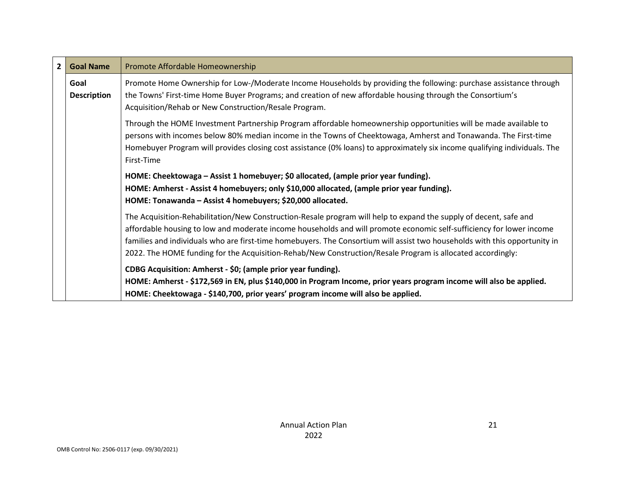| $\overline{2}$ | <b>Goal Name</b>           | Promote Affordable Homeownership                                                                                                                                                                                                                                                                                                                                                                                                                                                      |  |  |
|----------------|----------------------------|---------------------------------------------------------------------------------------------------------------------------------------------------------------------------------------------------------------------------------------------------------------------------------------------------------------------------------------------------------------------------------------------------------------------------------------------------------------------------------------|--|--|
|                | Goal<br><b>Description</b> | Promote Home Ownership for Low-/Moderate Income Households by providing the following: purchase assistance through<br>the Towns' First-time Home Buyer Programs; and creation of new affordable housing through the Consortium's<br>Acquisition/Rehab or New Construction/Resale Program.                                                                                                                                                                                             |  |  |
|                |                            | Through the HOME Investment Partnership Program affordable homeownership opportunities will be made available to<br>persons with incomes below 80% median income in the Towns of Cheektowaga, Amherst and Tonawanda. The First-time<br>Homebuyer Program will provides closing cost assistance (0% loans) to approximately six income qualifying individuals. The<br>First-Time                                                                                                       |  |  |
|                |                            | HOME: Cheektowaga – Assist 1 homebuyer; \$0 allocated, (ample prior year funding).<br>HOME: Amherst - Assist 4 homebuyers; only \$10,000 allocated, (ample prior year funding).<br>HOME: Tonawanda - Assist 4 homebuyers; \$20,000 allocated.                                                                                                                                                                                                                                         |  |  |
|                |                            | The Acquisition-Rehabilitation/New Construction-Resale program will help to expand the supply of decent, safe and<br>affordable housing to low and moderate income households and will promote economic self-sufficiency for lower income<br>families and individuals who are first-time homebuyers. The Consortium will assist two households with this opportunity in<br>2022. The HOME funding for the Acquisition-Rehab/New Construction/Resale Program is allocated accordingly: |  |  |
|                |                            | CDBG Acquisition: Amherst - \$0; (ample prior year funding).<br>HOME: Amherst - \$172,569 in EN, plus \$140,000 in Program Income, prior years program income will also be applied.<br>HOME: Cheektowaga - \$140,700, prior years' program income will also be applied.                                                                                                                                                                                                               |  |  |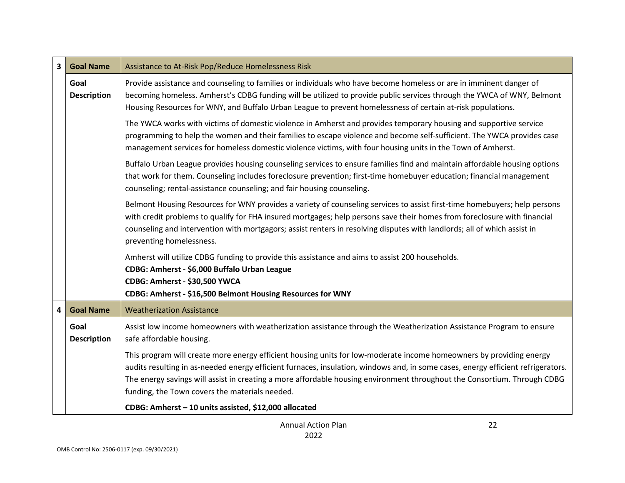| $\overline{\mathbf{3}}$  | <b>Goal Name</b>           | Assistance to At-Risk Pop/Reduce Homelessness Risk                                                                                                                                                                                                                                                                                                                                                                                    |  |  |
|--------------------------|----------------------------|---------------------------------------------------------------------------------------------------------------------------------------------------------------------------------------------------------------------------------------------------------------------------------------------------------------------------------------------------------------------------------------------------------------------------------------|--|--|
|                          | Goal<br><b>Description</b> | Provide assistance and counseling to families or individuals who have become homeless or are in imminent danger of<br>becoming homeless. Amherst's CDBG funding will be utilized to provide public services through the YWCA of WNY, Belmont<br>Housing Resources for WNY, and Buffalo Urban League to prevent homelessness of certain at-risk populations.                                                                           |  |  |
|                          |                            | The YWCA works with victims of domestic violence in Amherst and provides temporary housing and supportive service<br>programming to help the women and their families to escape violence and become self-sufficient. The YWCA provides case<br>management services for homeless domestic violence victims, with four housing units in the Town of Amherst.                                                                            |  |  |
|                          |                            | Buffalo Urban League provides housing counseling services to ensure families find and maintain affordable housing options<br>that work for them. Counseling includes foreclosure prevention; first-time homebuyer education; financial management<br>counseling; rental-assistance counseling; and fair housing counseling.                                                                                                           |  |  |
| preventing homelessness. |                            | Belmont Housing Resources for WNY provides a variety of counseling services to assist first-time homebuyers; help persons<br>with credit problems to qualify for FHA insured mortgages; help persons save their homes from foreclosure with financial<br>counseling and intervention with mortgagors; assist renters in resolving disputes with landlords; all of which assist in                                                     |  |  |
|                          |                            | Amherst will utilize CDBG funding to provide this assistance and aims to assist 200 households.<br>CDBG: Amherst - \$6,000 Buffalo Urban League<br>CDBG: Amherst - \$30,500 YWCA<br>CDBG: Amherst - \$16,500 Belmont Housing Resources for WNY                                                                                                                                                                                        |  |  |
| $\overline{\mathbf{4}}$  | <b>Goal Name</b>           | <b>Weatherization Assistance</b>                                                                                                                                                                                                                                                                                                                                                                                                      |  |  |
|                          | Goal<br><b>Description</b> | Assist low income homeowners with weatherization assistance through the Weatherization Assistance Program to ensure<br>safe affordable housing.                                                                                                                                                                                                                                                                                       |  |  |
|                          |                            | This program will create more energy efficient housing units for low-moderate income homeowners by providing energy<br>audits resulting in as-needed energy efficient furnaces, insulation, windows and, in some cases, energy efficient refrigerators.<br>The energy savings will assist in creating a more affordable housing environment throughout the Consortium. Through CDBG<br>funding, the Town covers the materials needed. |  |  |
|                          |                            | CDBG: Amherst - 10 units assisted, \$12,000 allocated                                                                                                                                                                                                                                                                                                                                                                                 |  |  |

22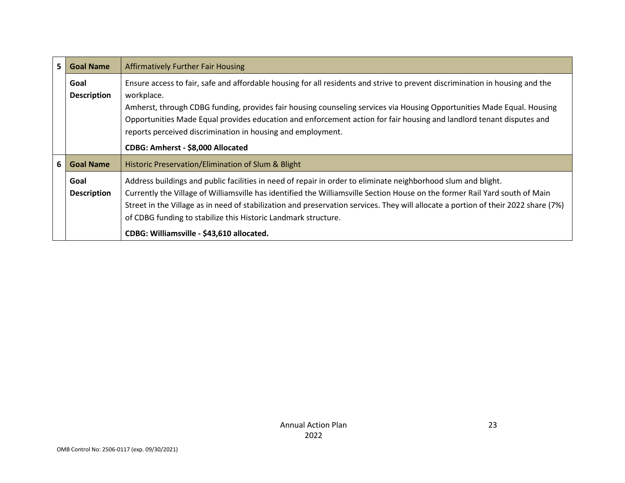| 5 | <b>Goal Name</b>           | <b>Affirmatively Further Fair Housing</b>                                                                                                                                                                                                                                                                                                                                                                                                                   |  |  |
|---|----------------------------|-------------------------------------------------------------------------------------------------------------------------------------------------------------------------------------------------------------------------------------------------------------------------------------------------------------------------------------------------------------------------------------------------------------------------------------------------------------|--|--|
|   | Goal<br><b>Description</b> | Ensure access to fair, safe and affordable housing for all residents and strive to prevent discrimination in housing and the<br>workplace.<br>Amherst, through CDBG funding, provides fair housing counseling services via Housing Opportunities Made Equal. Housing<br>Opportunities Made Equal provides education and enforcement action for fair housing and landlord tenant disputes and<br>reports perceived discrimination in housing and employment. |  |  |
|   |                            | CDBG: Amherst - \$8,000 Allocated                                                                                                                                                                                                                                                                                                                                                                                                                           |  |  |
| 6 | <b>Goal Name</b>           | Historic Preservation/Elimination of Slum & Blight                                                                                                                                                                                                                                                                                                                                                                                                          |  |  |
|   | Goal<br><b>Description</b> | Address buildings and public facilities in need of repair in order to eliminate neighborhood slum and blight.<br>Currently the Village of Williamsville has identified the Williamsville Section House on the former Rail Yard south of Main<br>Street in the Village as in need of stabilization and preservation services. They will allocate a portion of their 2022 share (7%)<br>of CDBG funding to stabilize this Historic Landmark structure.        |  |  |
|   |                            | CDBG: Williamsville - \$43,610 allocated.                                                                                                                                                                                                                                                                                                                                                                                                                   |  |  |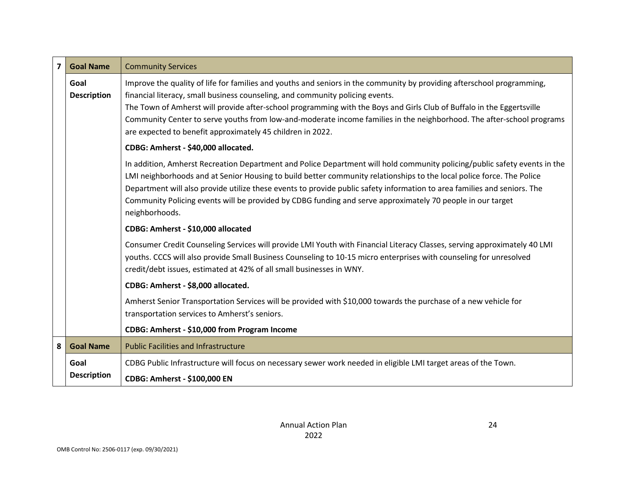| $\overline{\mathbf{z}}$                                                                                                                                                                                                                                                                                                                                                                                                                                                                                        | <b>Goal Name</b>           | <b>Community Services</b>                                                                                                                                                                                                                                                                                                                                                                                                                                                                                               |  |  |
|----------------------------------------------------------------------------------------------------------------------------------------------------------------------------------------------------------------------------------------------------------------------------------------------------------------------------------------------------------------------------------------------------------------------------------------------------------------------------------------------------------------|----------------------------|-------------------------------------------------------------------------------------------------------------------------------------------------------------------------------------------------------------------------------------------------------------------------------------------------------------------------------------------------------------------------------------------------------------------------------------------------------------------------------------------------------------------------|--|--|
|                                                                                                                                                                                                                                                                                                                                                                                                                                                                                                                | Goal<br><b>Description</b> | Improve the quality of life for families and youths and seniors in the community by providing afterschool programming,<br>financial literacy, small business counseling, and community policing events.<br>The Town of Amherst will provide after-school programming with the Boys and Girls Club of Buffalo in the Eggertsville<br>Community Center to serve youths from low-and-moderate income families in the neighborhood. The after-school programs<br>are expected to benefit approximately 45 children in 2022. |  |  |
|                                                                                                                                                                                                                                                                                                                                                                                                                                                                                                                |                            | CDBG: Amherst - \$40,000 allocated.                                                                                                                                                                                                                                                                                                                                                                                                                                                                                     |  |  |
| In addition, Amherst Recreation Department and Police Department will hold community policing/public safety events in the<br>LMI neighborhoods and at Senior Housing to build better community relationships to the local police force. The Police<br>Department will also provide utilize these events to provide public safety information to area families and seniors. The<br>Community Policing events will be provided by CDBG funding and serve approximately 70 people in our target<br>neighborhoods. |                            |                                                                                                                                                                                                                                                                                                                                                                                                                                                                                                                         |  |  |
|                                                                                                                                                                                                                                                                                                                                                                                                                                                                                                                |                            | CDBG: Amherst - \$10,000 allocated                                                                                                                                                                                                                                                                                                                                                                                                                                                                                      |  |  |
| credit/debt issues, estimated at 42% of all small businesses in WNY.                                                                                                                                                                                                                                                                                                                                                                                                                                           |                            | Consumer Credit Counseling Services will provide LMI Youth with Financial Literacy Classes, serving approximately 40 LMI<br>youths. CCCS will also provide Small Business Counseling to 10-15 micro enterprises with counseling for unresolved                                                                                                                                                                                                                                                                          |  |  |
|                                                                                                                                                                                                                                                                                                                                                                                                                                                                                                                |                            | CDBG: Amherst - \$8,000 allocated.                                                                                                                                                                                                                                                                                                                                                                                                                                                                                      |  |  |
|                                                                                                                                                                                                                                                                                                                                                                                                                                                                                                                |                            | Amherst Senior Transportation Services will be provided with \$10,000 towards the purchase of a new vehicle for<br>transportation services to Amherst's seniors.                                                                                                                                                                                                                                                                                                                                                        |  |  |
|                                                                                                                                                                                                                                                                                                                                                                                                                                                                                                                |                            | CDBG: Amherst - \$10,000 from Program Income                                                                                                                                                                                                                                                                                                                                                                                                                                                                            |  |  |
| 8                                                                                                                                                                                                                                                                                                                                                                                                                                                                                                              | <b>Goal Name</b>           | <b>Public Facilities and Infrastructure</b>                                                                                                                                                                                                                                                                                                                                                                                                                                                                             |  |  |
|                                                                                                                                                                                                                                                                                                                                                                                                                                                                                                                | Goal<br><b>Description</b> | CDBG Public Infrastructure will focus on necessary sewer work needed in eligible LMI target areas of the Town.<br><b>CDBG: Amherst - \$100,000 EN</b>                                                                                                                                                                                                                                                                                                                                                                   |  |  |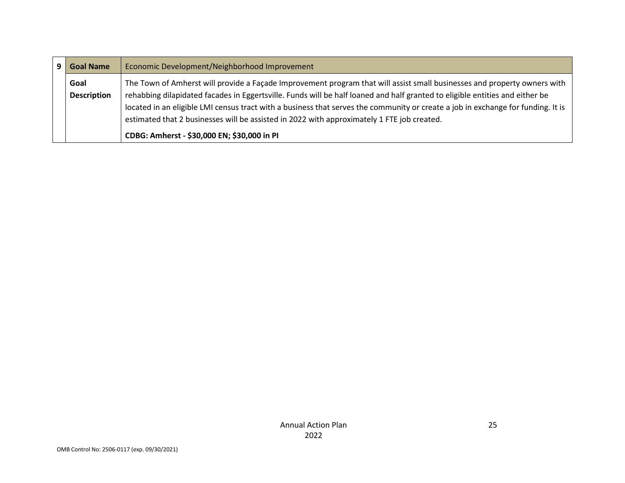| <b>Goal Name</b>   | Economic Development/Neighborhood Improvement                                                                                    |
|--------------------|----------------------------------------------------------------------------------------------------------------------------------|
| Goal               | The Town of Amherst will provide a Façade Improvement program that will assist small businesses and property owners with         |
| <b>Description</b> | rehabbing dilapidated facades in Eggertsville. Funds will be half loaned and half granted to eligible entities and either be     |
|                    | located in an eligible LMI census tract with a business that serves the community or create a job in exchange for funding. It is |
|                    | estimated that 2 businesses will be assisted in 2022 with approximately 1 FTE job created.                                       |
|                    | CDBG: Amherst - \$30,000 EN; \$30,000 in PI                                                                                      |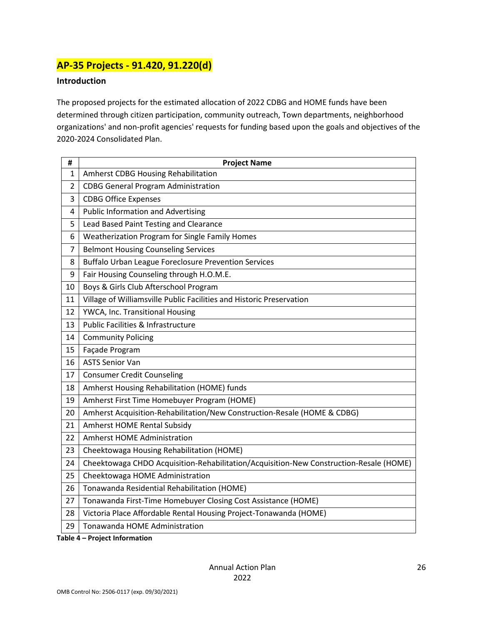# **AP-35 Projects - 91.420, 91.220(d)**

### **Introduction**

The proposed projects for the estimated allocation of 2022 CDBG and HOME funds have been determined through citizen participation, community outreach, Town departments, neighborhood organizations' and non-profit agencies' requests for funding based upon the goals and objectives of the 2020-2024 Consolidated Plan.

| #              | <b>Project Name</b>                                                                    |
|----------------|----------------------------------------------------------------------------------------|
| 1              | Amherst CDBG Housing Rehabilitation                                                    |
| $\overline{2}$ | <b>CDBG General Program Administration</b>                                             |
| 3              | <b>CDBG Office Expenses</b>                                                            |
| 4              | <b>Public Information and Advertising</b>                                              |
| 5              | Lead Based Paint Testing and Clearance                                                 |
| 6              | Weatherization Program for Single Family Homes                                         |
| $\overline{7}$ | <b>Belmont Housing Counseling Services</b>                                             |
| 8              | <b>Buffalo Urban League Foreclosure Prevention Services</b>                            |
| 9              | Fair Housing Counseling through H.O.M.E.                                               |
| 10             | Boys & Girls Club Afterschool Program                                                  |
| 11             | Village of Williamsville Public Facilities and Historic Preservation                   |
| 12             | YWCA, Inc. Transitional Housing                                                        |
| 13             | <b>Public Facilities &amp; Infrastructure</b>                                          |
| 14             | <b>Community Policing</b>                                                              |
| 15             | Façade Program                                                                         |
| 16             | <b>ASTS Senior Van</b>                                                                 |
| 17             | <b>Consumer Credit Counseling</b>                                                      |
| 18             | Amherst Housing Rehabilitation (HOME) funds                                            |
| 19             | Amherst First Time Homebuyer Program (HOME)                                            |
| 20             | Amherst Acquisition-Rehabilitation/New Construction-Resale (HOME & CDBG)               |
| 21             | <b>Amherst HOME Rental Subsidy</b>                                                     |
| 22             | <b>Amherst HOME Administration</b>                                                     |
| 23             | Cheektowaga Housing Rehabilitation (HOME)                                              |
| 24             | Cheektowaga CHDO Acquisition-Rehabilitation/Acquisition-New Construction-Resale (HOME) |
| 25             | Cheektowaga HOME Administration                                                        |
| 26             | Tonawanda Residential Rehabilitation (HOME)                                            |
| 27             | Tonawanda First-Time Homebuyer Closing Cost Assistance (HOME)                          |
| 28             | Victoria Place Affordable Rental Housing Project-Tonawanda (HOME)                      |
| 29             | Tonawanda HOME Administration                                                          |

**Table 4 – Project Information**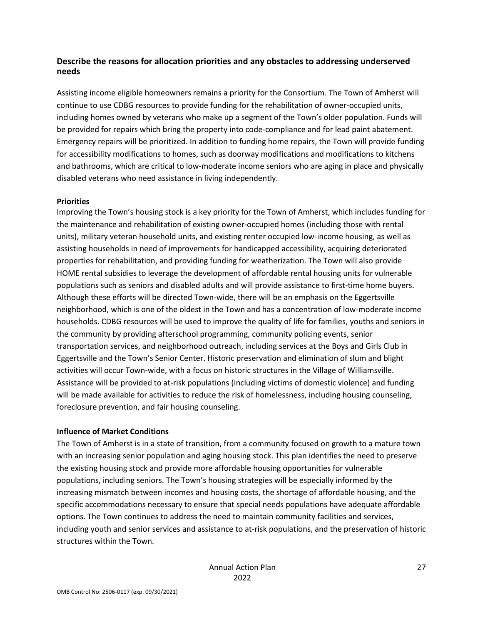### **Describe the reasons for allocation priorities and any obstacles to addressing underserved needs**

Assisting income eligible homeowners remains a priority for the Consortium. The Town of Amherst will continue to use CDBG resources to provide funding for the rehabilitation of owner-occupied units, including homes owned by veterans who make up a segment of the Town's older population. Funds will be provided for repairs which bring the property into code-compliance and for lead paint abatement. Emergency repairs will be prioritized. In addition to funding home repairs, the Town will provide funding for accessibility modifications to homes, such as doorway modifications and modifications to kitchens and bathrooms, which are critical to low-moderate income seniors who are aging in place and physically disabled veterans who need assistance in living independently.

#### **Priorities**

Improving the Town's housing stock is a key priority for the Town of Amherst, which includes funding for the maintenance and rehabilitation of existing owner-occupied homes (including those with rental units), military veteran household units, and existing renter occupied low-income housing, as well as assisting households in need of improvements for handicapped accessibility, acquiring deteriorated properties for rehabilitation, and providing funding for weatherization. The Town will also provide HOME rental subsidies to leverage the development of affordable rental housing units for vulnerable populations such as seniors and disabled adults and will provide assistance to first-time home buyers. Although these efforts will be directed Town-wide, there will be an emphasis on the Eggertsville neighborhood, which is one of the oldest in the Town and has a concentration of low-moderate income households. CDBG resources will be used to improve the quality of life for families, youths and seniors in the community by providing afterschool programming, community policing events, senior transportation services, and neighborhood outreach, including services at the Boys and Girls Club in Eggertsville and the Town's Senior Center. Historic preservation and elimination of slum and blight activities will occur Town-wide, with a focus on historic structures in the Village of Williamsville. Assistance will be provided to at-risk populations (including victims of domestic violence) and funding will be made available for activities to reduce the risk of homelessness, including housing counseling, foreclosure prevention, and fair housing counseling.

#### **Influence of Market Conditions**

The Town of Amherst is in a state of transition, from a community focused on growth to a mature town with an increasing senior population and aging housing stock. This plan identifies the need to preserve the existing housing stock and provide more affordable housing opportunities for vulnerable populations, including seniors. The Town's housing strategies will be especially informed by the increasing mismatch between incomes and housing costs, the shortage of affordable housing, and the specific accommodations necessary to ensure that special needs populations have adequate affordable options. The Town continues to address the need to maintain community facilities and services, including youth and senior services and assistance to at-risk populations, and the preservation of historic structures within the Town.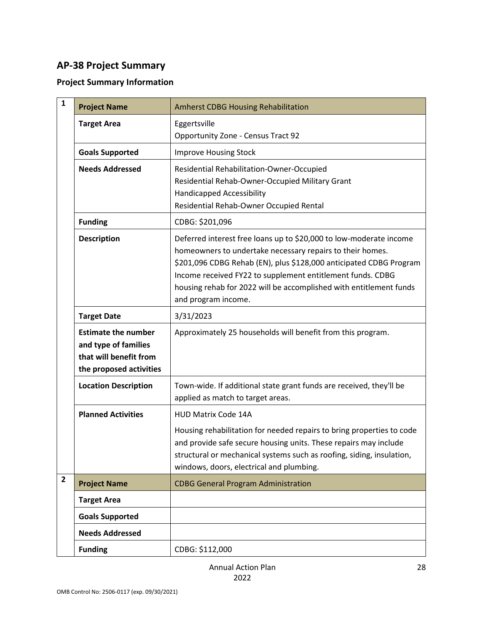# **AP-38 Project Summary**

# **Project Summary Information**

| $\mathbf{1}$ | <b>Project Name</b>                                                                                     | <b>Amherst CDBG Housing Rehabilitation</b>                                                                                                                                                                                                                                                                                                                       |
|--------------|---------------------------------------------------------------------------------------------------------|------------------------------------------------------------------------------------------------------------------------------------------------------------------------------------------------------------------------------------------------------------------------------------------------------------------------------------------------------------------|
|              | <b>Target Area</b>                                                                                      | Eggertsville<br><b>Opportunity Zone - Census Tract 92</b>                                                                                                                                                                                                                                                                                                        |
|              | <b>Goals Supported</b>                                                                                  | <b>Improve Housing Stock</b>                                                                                                                                                                                                                                                                                                                                     |
|              | <b>Needs Addressed</b>                                                                                  | Residential Rehabilitation-Owner-Occupied<br>Residential Rehab-Owner-Occupied Military Grant<br><b>Handicapped Accessibility</b><br>Residential Rehab-Owner Occupied Rental                                                                                                                                                                                      |
|              | <b>Funding</b>                                                                                          | CDBG: \$201,096                                                                                                                                                                                                                                                                                                                                                  |
|              | <b>Description</b>                                                                                      | Deferred interest free loans up to \$20,000 to low-moderate income<br>homeowners to undertake necessary repairs to their homes.<br>\$201,096 CDBG Rehab (EN), plus \$128,000 anticipated CDBG Program<br>Income received FY22 to supplement entitlement funds. CDBG<br>housing rehab for 2022 will be accomplished with entitlement funds<br>and program income. |
|              | <b>Target Date</b>                                                                                      | 3/31/2023                                                                                                                                                                                                                                                                                                                                                        |
|              | <b>Estimate the number</b><br>and type of families<br>that will benefit from<br>the proposed activities | Approximately 25 households will benefit from this program.                                                                                                                                                                                                                                                                                                      |
|              | <b>Location Description</b>                                                                             | Town-wide. If additional state grant funds are received, they'll be<br>applied as match to target areas.                                                                                                                                                                                                                                                         |
|              | <b>Planned Activities</b>                                                                               | <b>HUD Matrix Code 14A</b>                                                                                                                                                                                                                                                                                                                                       |
|              |                                                                                                         | Housing rehabilitation for needed repairs to bring properties to code<br>and provide safe secure housing units. These repairs may include<br>structural or mechanical systems such as roofing, siding, insulation,<br>windows, doors, electrical and plumbing.                                                                                                   |
| $\mathbf{2}$ | <b>Project Name</b>                                                                                     | <b>CDBG General Program Administration</b>                                                                                                                                                                                                                                                                                                                       |
|              | <b>Target Area</b>                                                                                      |                                                                                                                                                                                                                                                                                                                                                                  |
|              | <b>Goals Supported</b>                                                                                  |                                                                                                                                                                                                                                                                                                                                                                  |
|              | <b>Needs Addressed</b>                                                                                  |                                                                                                                                                                                                                                                                                                                                                                  |
|              | <b>Funding</b>                                                                                          | CDBG: \$112,000                                                                                                                                                                                                                                                                                                                                                  |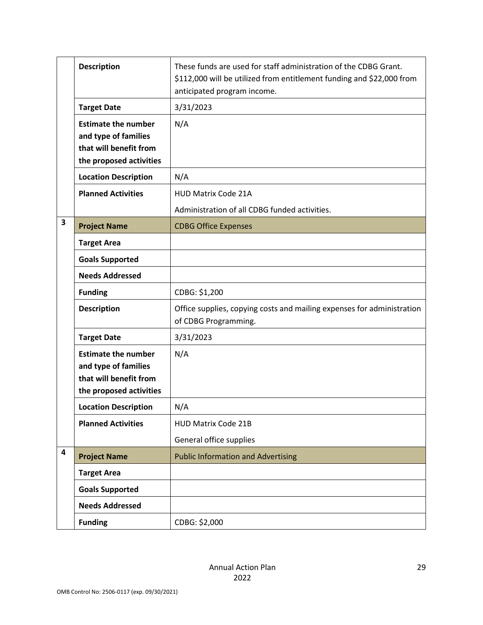|   | <b>Description</b>                                                                                      | These funds are used for staff administration of the CDBG Grant.<br>\$112,000 will be utilized from entitlement funding and \$22,000 from<br>anticipated program income. |
|---|---------------------------------------------------------------------------------------------------------|--------------------------------------------------------------------------------------------------------------------------------------------------------------------------|
|   | <b>Target Date</b>                                                                                      | 3/31/2023                                                                                                                                                                |
|   | <b>Estimate the number</b><br>and type of families<br>that will benefit from<br>the proposed activities | N/A                                                                                                                                                                      |
|   | <b>Location Description</b>                                                                             | N/A                                                                                                                                                                      |
|   | <b>Planned Activities</b>                                                                               | <b>HUD Matrix Code 21A</b><br>Administration of all CDBG funded activities.                                                                                              |
| 3 | <b>Project Name</b>                                                                                     | <b>CDBG Office Expenses</b>                                                                                                                                              |
|   | <b>Target Area</b>                                                                                      |                                                                                                                                                                          |
|   | <b>Goals Supported</b>                                                                                  |                                                                                                                                                                          |
|   | <b>Needs Addressed</b>                                                                                  |                                                                                                                                                                          |
|   | <b>Funding</b>                                                                                          | CDBG: \$1,200                                                                                                                                                            |
|   | <b>Description</b>                                                                                      | Office supplies, copying costs and mailing expenses for administration<br>of CDBG Programming.                                                                           |
|   | <b>Target Date</b>                                                                                      | 3/31/2023                                                                                                                                                                |
|   | <b>Estimate the number</b><br>and type of families<br>that will benefit from<br>the proposed activities | N/A                                                                                                                                                                      |
|   | <b>Location Description</b>                                                                             | N/A                                                                                                                                                                      |
|   | <b>Planned Activities</b>                                                                               | <b>HUD Matrix Code 21B</b>                                                                                                                                               |
|   |                                                                                                         | General office supplies                                                                                                                                                  |
| 4 | <b>Project Name</b>                                                                                     | <b>Public Information and Advertising</b>                                                                                                                                |
|   | <b>Target Area</b>                                                                                      |                                                                                                                                                                          |
|   | <b>Goals Supported</b>                                                                                  |                                                                                                                                                                          |
|   | <b>Needs Addressed</b>                                                                                  |                                                                                                                                                                          |
|   | <b>Funding</b>                                                                                          | CDBG: \$2,000                                                                                                                                                            |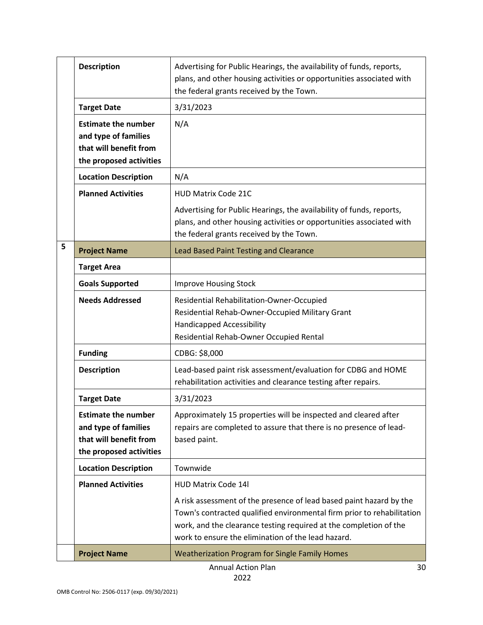|   | <b>Description</b>                                                                                      | Advertising for Public Hearings, the availability of funds, reports,<br>plans, and other housing activities or opportunities associated with<br>the federal grants received by the Town.                                                                                 |
|---|---------------------------------------------------------------------------------------------------------|--------------------------------------------------------------------------------------------------------------------------------------------------------------------------------------------------------------------------------------------------------------------------|
|   | <b>Target Date</b>                                                                                      | 3/31/2023                                                                                                                                                                                                                                                                |
|   | <b>Estimate the number</b><br>and type of families<br>that will benefit from<br>the proposed activities | N/A                                                                                                                                                                                                                                                                      |
|   | <b>Location Description</b>                                                                             | N/A                                                                                                                                                                                                                                                                      |
|   | <b>Planned Activities</b>                                                                               | <b>HUD Matrix Code 21C</b>                                                                                                                                                                                                                                               |
|   |                                                                                                         | Advertising for Public Hearings, the availability of funds, reports,<br>plans, and other housing activities or opportunities associated with<br>the federal grants received by the Town.                                                                                 |
| 5 | <b>Project Name</b>                                                                                     | <b>Lead Based Paint Testing and Clearance</b>                                                                                                                                                                                                                            |
|   | <b>Target Area</b>                                                                                      |                                                                                                                                                                                                                                                                          |
|   | <b>Goals Supported</b>                                                                                  | <b>Improve Housing Stock</b>                                                                                                                                                                                                                                             |
|   | <b>Needs Addressed</b>                                                                                  | Residential Rehabilitation-Owner-Occupied<br>Residential Rehab-Owner-Occupied Military Grant<br><b>Handicapped Accessibility</b><br>Residential Rehab-Owner Occupied Rental                                                                                              |
|   | <b>Funding</b>                                                                                          | CDBG: \$8,000                                                                                                                                                                                                                                                            |
|   | <b>Description</b>                                                                                      | Lead-based paint risk assessment/evaluation for CDBG and HOME<br>rehabilitation activities and clearance testing after repairs.                                                                                                                                          |
|   | <b>Target Date</b>                                                                                      | 3/31/2023                                                                                                                                                                                                                                                                |
|   | <b>Estimate the number</b><br>and type of families<br>that will benefit from<br>the proposed activities | Approximately 15 properties will be inspected and cleared after<br>repairs are completed to assure that there is no presence of lead-<br>based paint.                                                                                                                    |
|   | <b>Location Description</b>                                                                             | Townwide                                                                                                                                                                                                                                                                 |
|   | <b>Planned Activities</b>                                                                               | <b>HUD Matrix Code 14l</b>                                                                                                                                                                                                                                               |
|   |                                                                                                         | A risk assessment of the presence of lead based paint hazard by the<br>Town's contracted qualified environmental firm prior to rehabilitation<br>work, and the clearance testing required at the completion of the<br>work to ensure the elimination of the lead hazard. |
|   | <b>Project Name</b>                                                                                     | Weatherization Program for Single Family Homes                                                                                                                                                                                                                           |
|   |                                                                                                         | <b>Annual Action Plan</b><br>30                                                                                                                                                                                                                                          |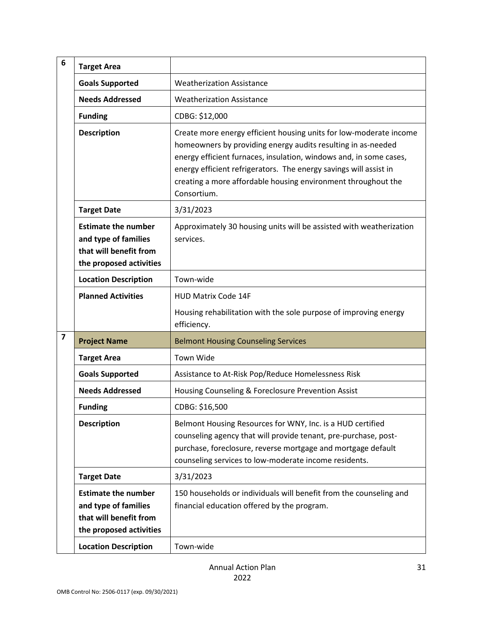| 6                       | <b>Target Area</b>                                                                                      |                                                                                                                                                                                                                                                                                                                                                               |
|-------------------------|---------------------------------------------------------------------------------------------------------|---------------------------------------------------------------------------------------------------------------------------------------------------------------------------------------------------------------------------------------------------------------------------------------------------------------------------------------------------------------|
|                         | <b>Goals Supported</b>                                                                                  | <b>Weatherization Assistance</b>                                                                                                                                                                                                                                                                                                                              |
|                         | <b>Needs Addressed</b>                                                                                  | <b>Weatherization Assistance</b>                                                                                                                                                                                                                                                                                                                              |
|                         | <b>Funding</b>                                                                                          | CDBG: \$12,000                                                                                                                                                                                                                                                                                                                                                |
|                         | <b>Description</b>                                                                                      | Create more energy efficient housing units for low-moderate income<br>homeowners by providing energy audits resulting in as-needed<br>energy efficient furnaces, insulation, windows and, in some cases,<br>energy efficient refrigerators. The energy savings will assist in<br>creating a more affordable housing environment throughout the<br>Consortium. |
|                         | <b>Target Date</b>                                                                                      | 3/31/2023                                                                                                                                                                                                                                                                                                                                                     |
|                         | <b>Estimate the number</b><br>and type of families<br>that will benefit from<br>the proposed activities | Approximately 30 housing units will be assisted with weatherization<br>services.                                                                                                                                                                                                                                                                              |
|                         | <b>Location Description</b>                                                                             | Town-wide                                                                                                                                                                                                                                                                                                                                                     |
|                         | <b>Planned Activities</b>                                                                               | <b>HUD Matrix Code 14F</b>                                                                                                                                                                                                                                                                                                                                    |
|                         |                                                                                                         | Housing rehabilitation with the sole purpose of improving energy<br>efficiency.                                                                                                                                                                                                                                                                               |
| $\overline{\mathbf{z}}$ | <b>Project Name</b>                                                                                     | <b>Belmont Housing Counseling Services</b>                                                                                                                                                                                                                                                                                                                    |
|                         | <b>Target Area</b>                                                                                      | Town Wide                                                                                                                                                                                                                                                                                                                                                     |
|                         | <b>Goals Supported</b>                                                                                  | Assistance to At-Risk Pop/Reduce Homelessness Risk                                                                                                                                                                                                                                                                                                            |
|                         | <b>Needs Addressed</b>                                                                                  | Housing Counseling & Foreclosure Prevention Assist                                                                                                                                                                                                                                                                                                            |
|                         | <b>Funding</b>                                                                                          | CDBG: \$16,500                                                                                                                                                                                                                                                                                                                                                |
|                         | <b>Description</b>                                                                                      | Belmont Housing Resources for WNY, Inc. is a HUD certified<br>counseling agency that will provide tenant, pre-purchase, post-<br>purchase, foreclosure, reverse mortgage and mortgage default<br>counseling services to low-moderate income residents.                                                                                                        |
|                         | <b>Target Date</b>                                                                                      | 3/31/2023                                                                                                                                                                                                                                                                                                                                                     |
|                         | <b>Estimate the number</b><br>and type of families<br>that will benefit from<br>the proposed activities | 150 households or individuals will benefit from the counseling and<br>financial education offered by the program.                                                                                                                                                                                                                                             |
|                         | <b>Location Description</b>                                                                             | Town-wide                                                                                                                                                                                                                                                                                                                                                     |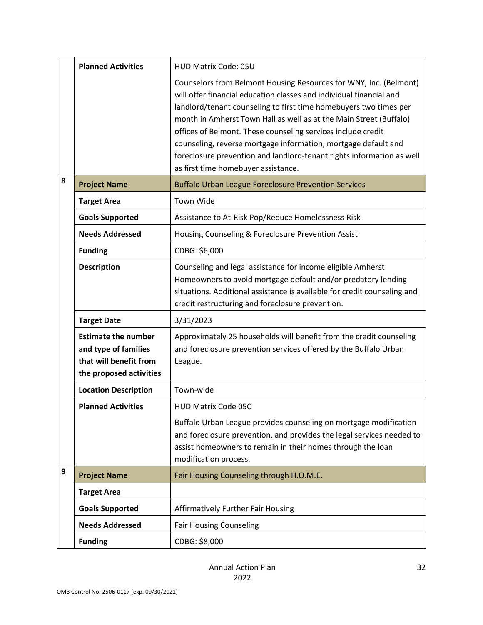|   | <b>Planned Activities</b>                                                                               | <b>HUD Matrix Code: 05U</b>                                                                                                                                                                                                                                                                                                                                                                                                                                                                                                           |
|---|---------------------------------------------------------------------------------------------------------|---------------------------------------------------------------------------------------------------------------------------------------------------------------------------------------------------------------------------------------------------------------------------------------------------------------------------------------------------------------------------------------------------------------------------------------------------------------------------------------------------------------------------------------|
|   |                                                                                                         | Counselors from Belmont Housing Resources for WNY, Inc. (Belmont)<br>will offer financial education classes and individual financial and<br>landlord/tenant counseling to first time homebuyers two times per<br>month in Amherst Town Hall as well as at the Main Street (Buffalo)<br>offices of Belmont. These counseling services include credit<br>counseling, reverse mortgage information, mortgage default and<br>foreclosure prevention and landlord-tenant rights information as well<br>as first time homebuyer assistance. |
| 8 | <b>Project Name</b>                                                                                     | <b>Buffalo Urban League Foreclosure Prevention Services</b>                                                                                                                                                                                                                                                                                                                                                                                                                                                                           |
|   | <b>Target Area</b>                                                                                      | <b>Town Wide</b>                                                                                                                                                                                                                                                                                                                                                                                                                                                                                                                      |
|   | <b>Goals Supported</b>                                                                                  | Assistance to At-Risk Pop/Reduce Homelessness Risk                                                                                                                                                                                                                                                                                                                                                                                                                                                                                    |
|   | <b>Needs Addressed</b>                                                                                  | Housing Counseling & Foreclosure Prevention Assist                                                                                                                                                                                                                                                                                                                                                                                                                                                                                    |
|   | <b>Funding</b>                                                                                          | CDBG: \$6,000                                                                                                                                                                                                                                                                                                                                                                                                                                                                                                                         |
|   | <b>Description</b>                                                                                      | Counseling and legal assistance for income eligible Amherst<br>Homeowners to avoid mortgage default and/or predatory lending<br>situations. Additional assistance is available for credit counseling and<br>credit restructuring and foreclosure prevention.                                                                                                                                                                                                                                                                          |
|   | <b>Target Date</b>                                                                                      | 3/31/2023                                                                                                                                                                                                                                                                                                                                                                                                                                                                                                                             |
|   | <b>Estimate the number</b><br>and type of families<br>that will benefit from<br>the proposed activities | Approximately 25 households will benefit from the credit counseling<br>and foreclosure prevention services offered by the Buffalo Urban<br>League.                                                                                                                                                                                                                                                                                                                                                                                    |
|   | <b>Location Description</b>                                                                             | Town-wide                                                                                                                                                                                                                                                                                                                                                                                                                                                                                                                             |
|   | <b>Planned Activities</b>                                                                               | <b>HUD Matrix Code 05C</b>                                                                                                                                                                                                                                                                                                                                                                                                                                                                                                            |
|   |                                                                                                         | Buffalo Urban League provides counseling on mortgage modification<br>and foreclosure prevention, and provides the legal services needed to<br>assist homeowners to remain in their homes through the loan<br>modification process.                                                                                                                                                                                                                                                                                                    |
| 9 | <b>Project Name</b>                                                                                     | Fair Housing Counseling through H.O.M.E.                                                                                                                                                                                                                                                                                                                                                                                                                                                                                              |
|   | <b>Target Area</b>                                                                                      |                                                                                                                                                                                                                                                                                                                                                                                                                                                                                                                                       |
|   | <b>Goals Supported</b>                                                                                  | <b>Affirmatively Further Fair Housing</b>                                                                                                                                                                                                                                                                                                                                                                                                                                                                                             |
|   | <b>Needs Addressed</b>                                                                                  | <b>Fair Housing Counseling</b>                                                                                                                                                                                                                                                                                                                                                                                                                                                                                                        |
|   | <b>Funding</b>                                                                                          | CDBG: \$8,000                                                                                                                                                                                                                                                                                                                                                                                                                                                                                                                         |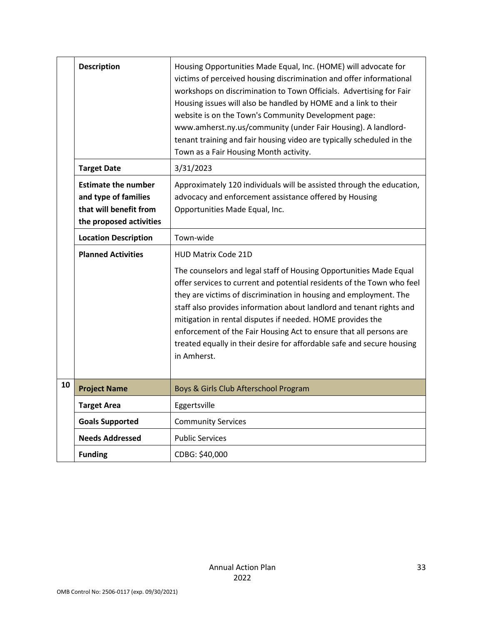|    | <b>Description</b>                                                                                      | Housing Opportunities Made Equal, Inc. (HOME) will advocate for<br>victims of perceived housing discrimination and offer informational<br>workshops on discrimination to Town Officials. Advertising for Fair<br>Housing issues will also be handled by HOME and a link to their<br>website is on the Town's Community Development page:<br>www.amherst.ny.us/community (under Fair Housing). A landlord-<br>tenant training and fair housing video are typically scheduled in the                                                                   |
|----|---------------------------------------------------------------------------------------------------------|------------------------------------------------------------------------------------------------------------------------------------------------------------------------------------------------------------------------------------------------------------------------------------------------------------------------------------------------------------------------------------------------------------------------------------------------------------------------------------------------------------------------------------------------------|
|    | <b>Target Date</b>                                                                                      | Town as a Fair Housing Month activity.<br>3/31/2023                                                                                                                                                                                                                                                                                                                                                                                                                                                                                                  |
|    | <b>Estimate the number</b><br>and type of families<br>that will benefit from<br>the proposed activities | Approximately 120 individuals will be assisted through the education,<br>advocacy and enforcement assistance offered by Housing<br>Opportunities Made Equal, Inc.                                                                                                                                                                                                                                                                                                                                                                                    |
|    | <b>Location Description</b>                                                                             | Town-wide                                                                                                                                                                                                                                                                                                                                                                                                                                                                                                                                            |
|    | <b>Planned Activities</b>                                                                               | <b>HUD Matrix Code 21D</b><br>The counselors and legal staff of Housing Opportunities Made Equal<br>offer services to current and potential residents of the Town who feel<br>they are victims of discrimination in housing and employment. The<br>staff also provides information about landlord and tenant rights and<br>mitigation in rental disputes if needed. HOME provides the<br>enforcement of the Fair Housing Act to ensure that all persons are<br>treated equally in their desire for affordable safe and secure housing<br>in Amherst. |
| 10 | <b>Project Name</b>                                                                                     | Boys & Girls Club Afterschool Program                                                                                                                                                                                                                                                                                                                                                                                                                                                                                                                |
|    | <b>Target Area</b>                                                                                      | Eggertsville                                                                                                                                                                                                                                                                                                                                                                                                                                                                                                                                         |
|    | <b>Goals Supported</b>                                                                                  | <b>Community Services</b>                                                                                                                                                                                                                                                                                                                                                                                                                                                                                                                            |
|    | <b>Needs Addressed</b>                                                                                  | <b>Public Services</b>                                                                                                                                                                                                                                                                                                                                                                                                                                                                                                                               |
|    | <b>Funding</b>                                                                                          | CDBG: \$40,000                                                                                                                                                                                                                                                                                                                                                                                                                                                                                                                                       |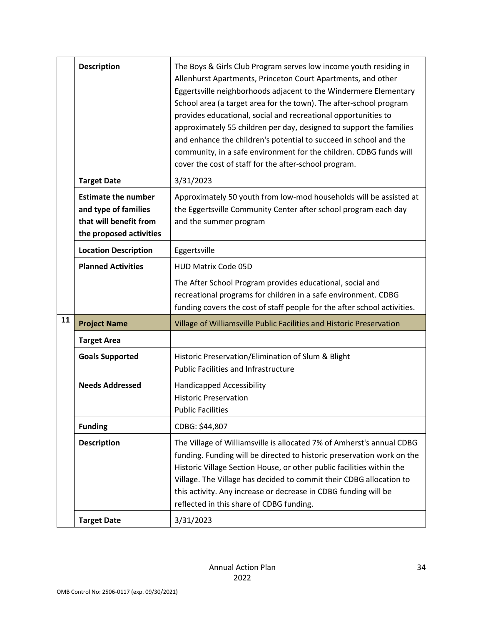|    | <b>Description</b>                                                                                      | The Boys & Girls Club Program serves low income youth residing in<br>Allenhurst Apartments, Princeton Court Apartments, and other<br>Eggertsville neighborhoods adjacent to the Windermere Elementary<br>School area (a target area for the town). The after-school program<br>provides educational, social and recreational opportunities to<br>approximately 55 children per day, designed to support the families<br>and enhance the children's potential to succeed in school and the<br>community, in a safe environment for the children. CDBG funds will<br>cover the cost of staff for the after-school program. |
|----|---------------------------------------------------------------------------------------------------------|--------------------------------------------------------------------------------------------------------------------------------------------------------------------------------------------------------------------------------------------------------------------------------------------------------------------------------------------------------------------------------------------------------------------------------------------------------------------------------------------------------------------------------------------------------------------------------------------------------------------------|
|    | <b>Target Date</b>                                                                                      | 3/31/2023                                                                                                                                                                                                                                                                                                                                                                                                                                                                                                                                                                                                                |
|    | <b>Estimate the number</b><br>and type of families<br>that will benefit from<br>the proposed activities | Approximately 50 youth from low-mod households will be assisted at<br>the Eggertsville Community Center after school program each day<br>and the summer program                                                                                                                                                                                                                                                                                                                                                                                                                                                          |
|    | <b>Location Description</b>                                                                             | Eggertsville                                                                                                                                                                                                                                                                                                                                                                                                                                                                                                                                                                                                             |
|    | <b>Planned Activities</b>                                                                               | <b>HUD Matrix Code 05D</b>                                                                                                                                                                                                                                                                                                                                                                                                                                                                                                                                                                                               |
|    |                                                                                                         | The After School Program provides educational, social and<br>recreational programs for children in a safe environment. CDBG<br>funding covers the cost of staff people for the after school activities.                                                                                                                                                                                                                                                                                                                                                                                                                  |
| 11 | <b>Project Name</b>                                                                                     | Village of Williamsville Public Facilities and Historic Preservation                                                                                                                                                                                                                                                                                                                                                                                                                                                                                                                                                     |
|    | <b>Target Area</b>                                                                                      |                                                                                                                                                                                                                                                                                                                                                                                                                                                                                                                                                                                                                          |
|    | <b>Goals Supported</b>                                                                                  | Historic Preservation/Elimination of Slum & Blight<br><b>Public Facilities and Infrastructure</b>                                                                                                                                                                                                                                                                                                                                                                                                                                                                                                                        |
|    | <b>Needs Addressed</b>                                                                                  | <b>Handicapped Accessibility</b><br><b>Historic Preservation</b><br><b>Public Facilities</b>                                                                                                                                                                                                                                                                                                                                                                                                                                                                                                                             |
|    | <b>Funding</b>                                                                                          | CDBG: \$44,807                                                                                                                                                                                                                                                                                                                                                                                                                                                                                                                                                                                                           |
|    | <b>Description</b>                                                                                      | The Village of Williamsville is allocated 7% of Amherst's annual CDBG<br>funding. Funding will be directed to historic preservation work on the<br>Historic Village Section House, or other public facilities within the<br>Village. The Village has decided to commit their CDBG allocation to<br>this activity. Any increase or decrease in CDBG funding will be<br>reflected in this share of CDBG funding.                                                                                                                                                                                                           |
|    | <b>Target Date</b>                                                                                      | 3/31/2023                                                                                                                                                                                                                                                                                                                                                                                                                                                                                                                                                                                                                |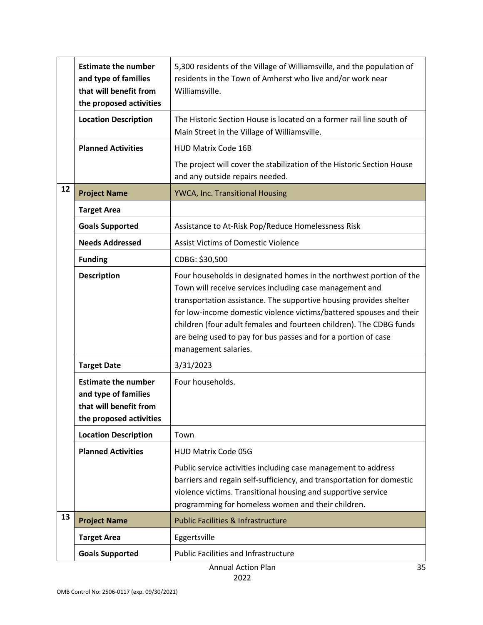|    | <b>Estimate the number</b><br>and type of families<br>that will benefit from<br>the proposed activities | 5,300 residents of the Village of Williamsville, and the population of<br>residents in the Town of Amherst who live and/or work near<br>Williamsville.                                                                                                                                                                                                                                                                                        |
|----|---------------------------------------------------------------------------------------------------------|-----------------------------------------------------------------------------------------------------------------------------------------------------------------------------------------------------------------------------------------------------------------------------------------------------------------------------------------------------------------------------------------------------------------------------------------------|
|    | <b>Location Description</b>                                                                             | The Historic Section House is located on a former rail line south of<br>Main Street in the Village of Williamsville.                                                                                                                                                                                                                                                                                                                          |
|    | <b>Planned Activities</b>                                                                               | <b>HUD Matrix Code 16B</b>                                                                                                                                                                                                                                                                                                                                                                                                                    |
|    |                                                                                                         | The project will cover the stabilization of the Historic Section House<br>and any outside repairs needed.                                                                                                                                                                                                                                                                                                                                     |
| 12 | <b>Project Name</b>                                                                                     | YWCA, Inc. Transitional Housing                                                                                                                                                                                                                                                                                                                                                                                                               |
|    | <b>Target Area</b>                                                                                      |                                                                                                                                                                                                                                                                                                                                                                                                                                               |
|    | <b>Goals Supported</b>                                                                                  | Assistance to At-Risk Pop/Reduce Homelessness Risk                                                                                                                                                                                                                                                                                                                                                                                            |
|    | <b>Needs Addressed</b>                                                                                  | <b>Assist Victims of Domestic Violence</b>                                                                                                                                                                                                                                                                                                                                                                                                    |
|    | <b>Funding</b>                                                                                          | CDBG: \$30,500                                                                                                                                                                                                                                                                                                                                                                                                                                |
|    | <b>Description</b>                                                                                      | Four households in designated homes in the northwest portion of the<br>Town will receive services including case management and<br>transportation assistance. The supportive housing provides shelter<br>for low-income domestic violence victims/battered spouses and their<br>children (four adult females and fourteen children). The CDBG funds<br>are being used to pay for bus passes and for a portion of case<br>management salaries. |
|    | <b>Target Date</b>                                                                                      | 3/31/2023                                                                                                                                                                                                                                                                                                                                                                                                                                     |
|    | <b>Estimate the number</b><br>and type of families<br>that will benefit from<br>the proposed activities | Four households.                                                                                                                                                                                                                                                                                                                                                                                                                              |
|    | <b>Location Description</b>                                                                             | Town                                                                                                                                                                                                                                                                                                                                                                                                                                          |
|    | <b>Planned Activities</b>                                                                               | <b>HUD Matrix Code 05G</b>                                                                                                                                                                                                                                                                                                                                                                                                                    |
|    |                                                                                                         | Public service activities including case management to address<br>barriers and regain self-sufficiency, and transportation for domestic<br>violence victims. Transitional housing and supportive service<br>programming for homeless women and their children.                                                                                                                                                                                |
| 13 | <b>Project Name</b>                                                                                     | <b>Public Facilities &amp; Infrastructure</b>                                                                                                                                                                                                                                                                                                                                                                                                 |
|    | <b>Target Area</b>                                                                                      | Eggertsville                                                                                                                                                                                                                                                                                                                                                                                                                                  |
|    | <b>Goals Supported</b>                                                                                  | <b>Public Facilities and Infrastructure</b>                                                                                                                                                                                                                                                                                                                                                                                                   |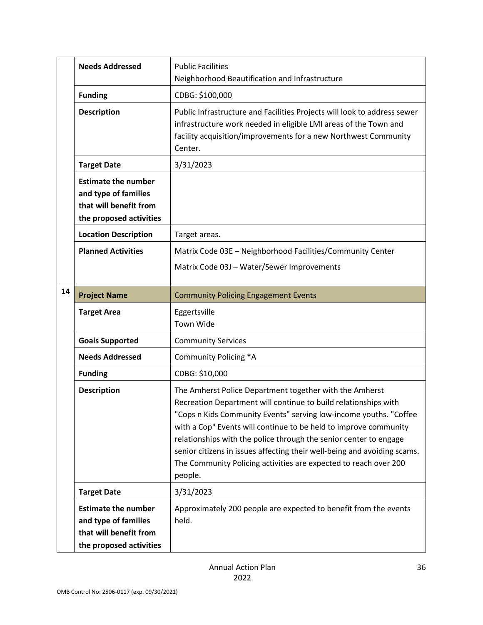|    | <b>Needs Addressed</b>                                                                                  | <b>Public Facilities</b><br>Neighborhood Beautification and Infrastructure                                                                                                                                                                                                                                                                                                                                                                                                                          |
|----|---------------------------------------------------------------------------------------------------------|-----------------------------------------------------------------------------------------------------------------------------------------------------------------------------------------------------------------------------------------------------------------------------------------------------------------------------------------------------------------------------------------------------------------------------------------------------------------------------------------------------|
|    | <b>Funding</b>                                                                                          | CDBG: \$100,000                                                                                                                                                                                                                                                                                                                                                                                                                                                                                     |
|    | <b>Description</b>                                                                                      | Public Infrastructure and Facilities Projects will look to address sewer<br>infrastructure work needed in eligible LMI areas of the Town and<br>facility acquisition/improvements for a new Northwest Community<br>Center.                                                                                                                                                                                                                                                                          |
|    | <b>Target Date</b>                                                                                      | 3/31/2023                                                                                                                                                                                                                                                                                                                                                                                                                                                                                           |
|    | <b>Estimate the number</b><br>and type of families<br>that will benefit from<br>the proposed activities |                                                                                                                                                                                                                                                                                                                                                                                                                                                                                                     |
|    | <b>Location Description</b>                                                                             | Target areas.                                                                                                                                                                                                                                                                                                                                                                                                                                                                                       |
|    | <b>Planned Activities</b>                                                                               | Matrix Code 03E - Neighborhood Facilities/Community Center<br>Matrix Code 03J - Water/Sewer Improvements                                                                                                                                                                                                                                                                                                                                                                                            |
| 14 | <b>Project Name</b>                                                                                     | <b>Community Policing Engagement Events</b>                                                                                                                                                                                                                                                                                                                                                                                                                                                         |
|    | <b>Target Area</b>                                                                                      | Eggertsville<br><b>Town Wide</b>                                                                                                                                                                                                                                                                                                                                                                                                                                                                    |
|    | <b>Goals Supported</b>                                                                                  | <b>Community Services</b>                                                                                                                                                                                                                                                                                                                                                                                                                                                                           |
|    | <b>Needs Addressed</b>                                                                                  | Community Policing *A                                                                                                                                                                                                                                                                                                                                                                                                                                                                               |
|    | <b>Funding</b>                                                                                          | CDBG: \$10,000                                                                                                                                                                                                                                                                                                                                                                                                                                                                                      |
|    | <b>Description</b>                                                                                      | The Amherst Police Department together with the Amherst<br>Recreation Department will continue to build relationships with<br>"Cops n Kids Community Events" serving low-income youths. "Coffee<br>with a Cop" Events will continue to be held to improve community<br>relationships with the police through the senior center to engage<br>senior citizens in issues affecting their well-being and avoiding scams.<br>The Community Policing activities are expected to reach over 200<br>people. |
|    | <b>Target Date</b>                                                                                      | 3/31/2023                                                                                                                                                                                                                                                                                                                                                                                                                                                                                           |
|    | <b>Estimate the number</b><br>and type of families<br>that will benefit from<br>the proposed activities | Approximately 200 people are expected to benefit from the events<br>held.                                                                                                                                                                                                                                                                                                                                                                                                                           |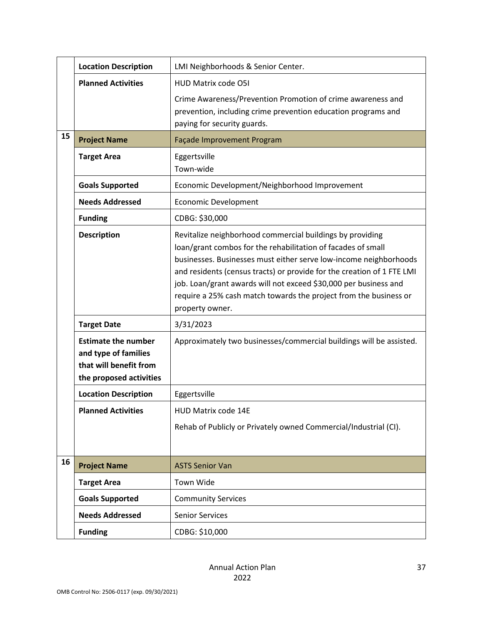|    | <b>Location Description</b>                                                                             | LMI Neighborhoods & Senior Center.                                                                                                                                                                                                                                                                                                                                                                                                   |
|----|---------------------------------------------------------------------------------------------------------|--------------------------------------------------------------------------------------------------------------------------------------------------------------------------------------------------------------------------------------------------------------------------------------------------------------------------------------------------------------------------------------------------------------------------------------|
|    | <b>Planned Activities</b>                                                                               | HUD Matrix code O5I                                                                                                                                                                                                                                                                                                                                                                                                                  |
|    |                                                                                                         | Crime Awareness/Prevention Promotion of crime awareness and<br>prevention, including crime prevention education programs and<br>paying for security guards.                                                                                                                                                                                                                                                                          |
| 15 | <b>Project Name</b>                                                                                     | Façade Improvement Program                                                                                                                                                                                                                                                                                                                                                                                                           |
|    | <b>Target Area</b>                                                                                      | Eggertsville<br>Town-wide                                                                                                                                                                                                                                                                                                                                                                                                            |
|    | <b>Goals Supported</b>                                                                                  | Economic Development/Neighborhood Improvement                                                                                                                                                                                                                                                                                                                                                                                        |
|    | <b>Needs Addressed</b>                                                                                  | <b>Economic Development</b>                                                                                                                                                                                                                                                                                                                                                                                                          |
|    | <b>Funding</b>                                                                                          | CDBG: \$30,000                                                                                                                                                                                                                                                                                                                                                                                                                       |
|    | <b>Description</b>                                                                                      | Revitalize neighborhood commercial buildings by providing<br>loan/grant combos for the rehabilitation of facades of small<br>businesses. Businesses must either serve low-income neighborhoods<br>and residents (census tracts) or provide for the creation of 1 FTE LMI<br>job. Loan/grant awards will not exceed \$30,000 per business and<br>require a 25% cash match towards the project from the business or<br>property owner. |
|    | <b>Target Date</b>                                                                                      | 3/31/2023                                                                                                                                                                                                                                                                                                                                                                                                                            |
|    | <b>Estimate the number</b><br>and type of families<br>that will benefit from<br>the proposed activities | Approximately two businesses/commercial buildings will be assisted.                                                                                                                                                                                                                                                                                                                                                                  |
|    | <b>Location Description</b>                                                                             | Eggertsville                                                                                                                                                                                                                                                                                                                                                                                                                         |
|    | <b>Planned Activities</b>                                                                               | HUD Matrix code 14E                                                                                                                                                                                                                                                                                                                                                                                                                  |
|    |                                                                                                         | Rehab of Publicly or Privately owned Commercial/Industrial (CI).                                                                                                                                                                                                                                                                                                                                                                     |
| 16 | <b>Project Name</b>                                                                                     | <b>ASTS Senior Van</b>                                                                                                                                                                                                                                                                                                                                                                                                               |
|    | <b>Target Area</b>                                                                                      | Town Wide                                                                                                                                                                                                                                                                                                                                                                                                                            |
|    | <b>Goals Supported</b>                                                                                  | <b>Community Services</b>                                                                                                                                                                                                                                                                                                                                                                                                            |
|    | <b>Needs Addressed</b>                                                                                  | <b>Senior Services</b>                                                                                                                                                                                                                                                                                                                                                                                                               |
|    | <b>Funding</b>                                                                                          | CDBG: \$10,000                                                                                                                                                                                                                                                                                                                                                                                                                       |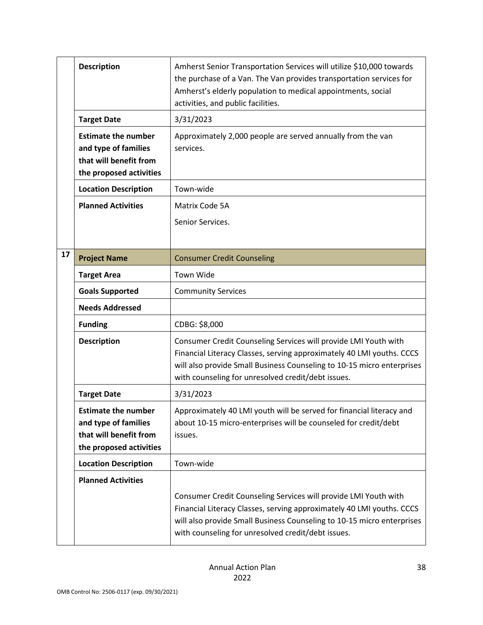|    | <b>Description</b>                                                                                      | Amherst Senior Transportation Services will utilize \$10,000 towards<br>the purchase of a Van. The Van provides transportation services for<br>Amherst's elderly population to medical appointments, social<br>activities, and public facilities.                        |
|----|---------------------------------------------------------------------------------------------------------|--------------------------------------------------------------------------------------------------------------------------------------------------------------------------------------------------------------------------------------------------------------------------|
|    | <b>Target Date</b>                                                                                      | 3/31/2023                                                                                                                                                                                                                                                                |
|    | <b>Estimate the number</b><br>and type of families<br>that will benefit from<br>the proposed activities | Approximately 2,000 people are served annually from the van<br>services.                                                                                                                                                                                                 |
|    | <b>Location Description</b>                                                                             | Town-wide                                                                                                                                                                                                                                                                |
|    | <b>Planned Activities</b>                                                                               | Matrix Code 5A<br>Senior Services.                                                                                                                                                                                                                                       |
| 17 | <b>Project Name</b>                                                                                     | <b>Consumer Credit Counseling</b>                                                                                                                                                                                                                                        |
|    | <b>Target Area</b>                                                                                      | Town Wide                                                                                                                                                                                                                                                                |
|    | <b>Goals Supported</b>                                                                                  | <b>Community Services</b>                                                                                                                                                                                                                                                |
|    | <b>Needs Addressed</b>                                                                                  |                                                                                                                                                                                                                                                                          |
|    | <b>Funding</b>                                                                                          | CDBG: \$8,000                                                                                                                                                                                                                                                            |
|    | <b>Description</b>                                                                                      | Consumer Credit Counseling Services will provide LMI Youth with<br>Financial Literacy Classes, serving approximately 40 LMI youths. CCCS<br>will also provide Small Business Counseling to 10-15 micro enterprises<br>with counseling for unresolved credit/debt issues. |
|    | <b>Target Date</b>                                                                                      | 3/31/2023                                                                                                                                                                                                                                                                |
|    | <b>Estimate the number</b><br>and type of families<br>that will benefit from<br>the proposed activities | Approximately 40 LMI youth will be served for financial literacy and<br>about 10-15 micro-enterprises will be counseled for credit/debt<br>issues.                                                                                                                       |
|    | <b>Location Description</b>                                                                             | Town-wide                                                                                                                                                                                                                                                                |
|    | <b>Planned Activities</b>                                                                               | Consumer Credit Counseling Services will provide LMI Youth with<br>Financial Literacy Classes, serving approximately 40 LMI youths. CCCS<br>will also provide Small Business Counseling to 10-15 micro enterprises<br>with counseling for unresolved credit/debt issues. |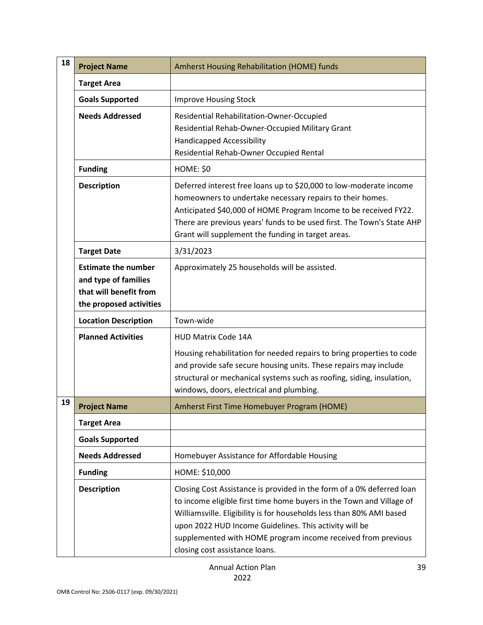| 18 | <b>Project Name</b>                                                                                     | Amherst Housing Rehabilitation (HOME) funds                                                                                                                                                                                                                                                                                                                                       |
|----|---------------------------------------------------------------------------------------------------------|-----------------------------------------------------------------------------------------------------------------------------------------------------------------------------------------------------------------------------------------------------------------------------------------------------------------------------------------------------------------------------------|
|    | <b>Target Area</b>                                                                                      |                                                                                                                                                                                                                                                                                                                                                                                   |
|    | <b>Goals Supported</b>                                                                                  | <b>Improve Housing Stock</b>                                                                                                                                                                                                                                                                                                                                                      |
|    | <b>Needs Addressed</b>                                                                                  | Residential Rehabilitation-Owner-Occupied<br>Residential Rehab-Owner-Occupied Military Grant<br><b>Handicapped Accessibility</b><br>Residential Rehab-Owner Occupied Rental                                                                                                                                                                                                       |
|    | <b>Funding</b>                                                                                          | <b>HOME: \$0</b>                                                                                                                                                                                                                                                                                                                                                                  |
|    | <b>Description</b>                                                                                      | Deferred interest free loans up to \$20,000 to low-moderate income<br>homeowners to undertake necessary repairs to their homes.<br>Anticipated \$40,000 of HOME Program Income to be received FY22.<br>There are previous years' funds to be used first. The Town's State AHP<br>Grant will supplement the funding in target areas.                                               |
|    | <b>Target Date</b>                                                                                      | 3/31/2023                                                                                                                                                                                                                                                                                                                                                                         |
|    | <b>Estimate the number</b><br>and type of families<br>that will benefit from<br>the proposed activities | Approximately 25 households will be assisted.                                                                                                                                                                                                                                                                                                                                     |
|    | <b>Location Description</b>                                                                             | Town-wide                                                                                                                                                                                                                                                                                                                                                                         |
|    | <b>Planned Activities</b>                                                                               | <b>HUD Matrix Code 14A</b><br>Housing rehabilitation for needed repairs to bring properties to code<br>and provide safe secure housing units. These repairs may include<br>structural or mechanical systems such as roofing, siding, insulation,<br>windows, doors, electrical and plumbing.                                                                                      |
| 19 | <b>Project Name</b>                                                                                     | Amherst First Time Homebuyer Program (HOME)                                                                                                                                                                                                                                                                                                                                       |
|    | <b>Target Area</b>                                                                                      |                                                                                                                                                                                                                                                                                                                                                                                   |
|    | <b>Goals Supported</b>                                                                                  |                                                                                                                                                                                                                                                                                                                                                                                   |
|    | <b>Needs Addressed</b>                                                                                  | Homebuyer Assistance for Affordable Housing                                                                                                                                                                                                                                                                                                                                       |
|    | <b>Funding</b>                                                                                          | HOME: \$10,000                                                                                                                                                                                                                                                                                                                                                                    |
|    | <b>Description</b>                                                                                      | Closing Cost Assistance is provided in the form of a 0% deferred loan<br>to income eligible first time home buyers in the Town and Village of<br>Williamsville. Eligibility is for households less than 80% AMI based<br>upon 2022 HUD Income Guidelines. This activity will be<br>supplemented with HOME program income received from previous<br>closing cost assistance loans. |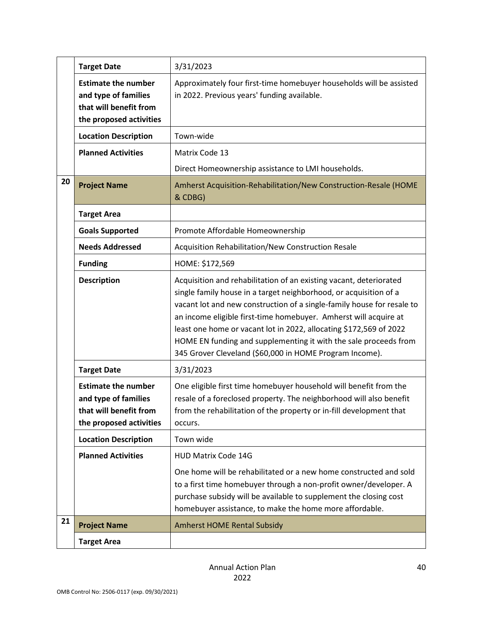|    | <b>Target Date</b>                                                                                      | 3/31/2023                                                                                                                                                                                                                                                                                                                                                                                                                                                                                  |
|----|---------------------------------------------------------------------------------------------------------|--------------------------------------------------------------------------------------------------------------------------------------------------------------------------------------------------------------------------------------------------------------------------------------------------------------------------------------------------------------------------------------------------------------------------------------------------------------------------------------------|
|    | <b>Estimate the number</b><br>and type of families<br>that will benefit from<br>the proposed activities | Approximately four first-time homebuyer households will be assisted<br>in 2022. Previous years' funding available.                                                                                                                                                                                                                                                                                                                                                                         |
|    | <b>Location Description</b>                                                                             | Town-wide                                                                                                                                                                                                                                                                                                                                                                                                                                                                                  |
|    | <b>Planned Activities</b>                                                                               | Matrix Code 13                                                                                                                                                                                                                                                                                                                                                                                                                                                                             |
|    |                                                                                                         | Direct Homeownership assistance to LMI households.                                                                                                                                                                                                                                                                                                                                                                                                                                         |
| 20 | <b>Project Name</b>                                                                                     | Amherst Acquisition-Rehabilitation/New Construction-Resale (HOME<br>& CDBG)                                                                                                                                                                                                                                                                                                                                                                                                                |
|    | <b>Target Area</b>                                                                                      |                                                                                                                                                                                                                                                                                                                                                                                                                                                                                            |
|    | <b>Goals Supported</b>                                                                                  | Promote Affordable Homeownership                                                                                                                                                                                                                                                                                                                                                                                                                                                           |
|    | <b>Needs Addressed</b>                                                                                  | Acquisition Rehabilitation/New Construction Resale                                                                                                                                                                                                                                                                                                                                                                                                                                         |
|    | <b>Funding</b>                                                                                          | HOME: \$172,569                                                                                                                                                                                                                                                                                                                                                                                                                                                                            |
|    | <b>Description</b>                                                                                      | Acquisition and rehabilitation of an existing vacant, deteriorated<br>single family house in a target neighborhood, or acquisition of a<br>vacant lot and new construction of a single-family house for resale to<br>an income eligible first-time homebuyer. Amherst will acquire at<br>least one home or vacant lot in 2022, allocating \$172,569 of 2022<br>HOME EN funding and supplementing it with the sale proceeds from<br>345 Grover Cleveland (\$60,000 in HOME Program Income). |
|    | <b>Target Date</b>                                                                                      | 3/31/2023                                                                                                                                                                                                                                                                                                                                                                                                                                                                                  |
|    | <b>Estimate the number</b><br>and type of families<br>that will benefit from<br>the proposed activities | One eligible first time homebuyer household will benefit from the<br>resale of a foreclosed property. The neighborhood will also benefit<br>from the rehabilitation of the property or in-fill development that<br>occurs.                                                                                                                                                                                                                                                                 |
|    | <b>Location Description</b>                                                                             | Town wide                                                                                                                                                                                                                                                                                                                                                                                                                                                                                  |
|    | <b>Planned Activities</b>                                                                               | <b>HUD Matrix Code 14G</b>                                                                                                                                                                                                                                                                                                                                                                                                                                                                 |
|    |                                                                                                         | One home will be rehabilitated or a new home constructed and sold<br>to a first time homebuyer through a non-profit owner/developer. A<br>purchase subsidy will be available to supplement the closing cost<br>homebuyer assistance, to make the home more affordable.                                                                                                                                                                                                                     |
| 21 | <b>Project Name</b>                                                                                     | <b>Amherst HOME Rental Subsidy</b>                                                                                                                                                                                                                                                                                                                                                                                                                                                         |
|    | <b>Target Area</b>                                                                                      |                                                                                                                                                                                                                                                                                                                                                                                                                                                                                            |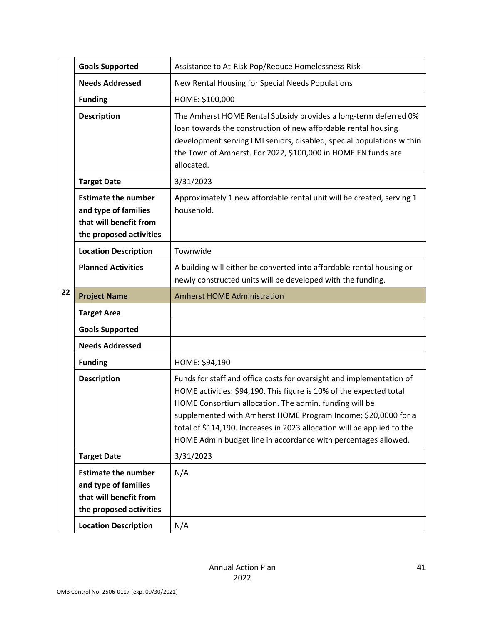|    | <b>Goals Supported</b>                                                                                  | Assistance to At-Risk Pop/Reduce Homelessness Risk                                                                                                                                                                                                                                                                                                                                                                   |
|----|---------------------------------------------------------------------------------------------------------|----------------------------------------------------------------------------------------------------------------------------------------------------------------------------------------------------------------------------------------------------------------------------------------------------------------------------------------------------------------------------------------------------------------------|
|    | <b>Needs Addressed</b>                                                                                  | New Rental Housing for Special Needs Populations                                                                                                                                                                                                                                                                                                                                                                     |
|    | <b>Funding</b>                                                                                          | HOME: \$100,000                                                                                                                                                                                                                                                                                                                                                                                                      |
|    | <b>Description</b>                                                                                      | The Amherst HOME Rental Subsidy provides a long-term deferred 0%<br>loan towards the construction of new affordable rental housing<br>development serving LMI seniors, disabled, special populations within<br>the Town of Amherst. For 2022, \$100,000 in HOME EN funds are<br>allocated.                                                                                                                           |
|    | <b>Target Date</b>                                                                                      | 3/31/2023                                                                                                                                                                                                                                                                                                                                                                                                            |
|    | <b>Estimate the number</b><br>and type of families<br>that will benefit from<br>the proposed activities | Approximately 1 new affordable rental unit will be created, serving 1<br>household.                                                                                                                                                                                                                                                                                                                                  |
|    | <b>Location Description</b>                                                                             | Townwide                                                                                                                                                                                                                                                                                                                                                                                                             |
|    | <b>Planned Activities</b>                                                                               | A building will either be converted into affordable rental housing or<br>newly constructed units will be developed with the funding.                                                                                                                                                                                                                                                                                 |
| 22 | <b>Project Name</b>                                                                                     | <b>Amherst HOME Administration</b>                                                                                                                                                                                                                                                                                                                                                                                   |
|    | <b>Target Area</b>                                                                                      |                                                                                                                                                                                                                                                                                                                                                                                                                      |
|    | <b>Goals Supported</b>                                                                                  |                                                                                                                                                                                                                                                                                                                                                                                                                      |
|    | <b>Needs Addressed</b>                                                                                  |                                                                                                                                                                                                                                                                                                                                                                                                                      |
|    | <b>Funding</b>                                                                                          | HOME: \$94,190                                                                                                                                                                                                                                                                                                                                                                                                       |
|    | <b>Description</b>                                                                                      | Funds for staff and office costs for oversight and implementation of<br>HOME activities: \$94,190. This figure is 10% of the expected total<br>HOME Consortium allocation. The admin. funding will be<br>supplemented with Amherst HOME Program Income; \$20,0000 for a<br>total of \$114,190. Increases in 2023 allocation will be applied to the<br>HOME Admin budget line in accordance with percentages allowed. |
|    | <b>Target Date</b>                                                                                      | 3/31/2023                                                                                                                                                                                                                                                                                                                                                                                                            |
|    | <b>Estimate the number</b><br>and type of families<br>that will benefit from<br>the proposed activities | N/A                                                                                                                                                                                                                                                                                                                                                                                                                  |
|    | <b>Location Description</b>                                                                             | N/A                                                                                                                                                                                                                                                                                                                                                                                                                  |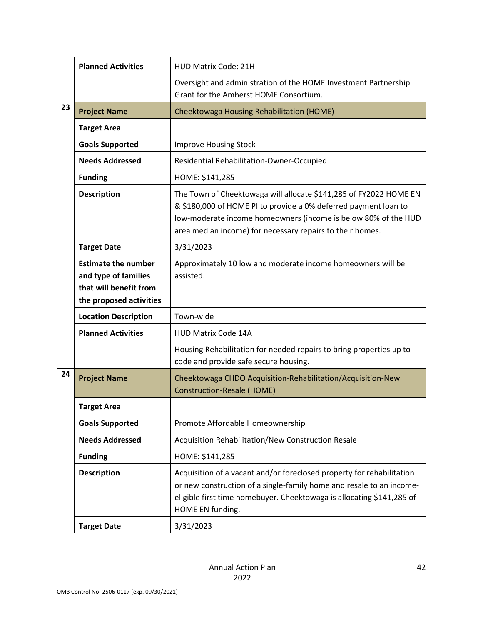|    | <b>Planned Activities</b>                                                                               | <b>HUD Matrix Code: 21H</b>                                                                                                                                                                                                                                         |
|----|---------------------------------------------------------------------------------------------------------|---------------------------------------------------------------------------------------------------------------------------------------------------------------------------------------------------------------------------------------------------------------------|
|    |                                                                                                         | Oversight and administration of the HOME Investment Partnership                                                                                                                                                                                                     |
|    |                                                                                                         | Grant for the Amherst HOME Consortium.                                                                                                                                                                                                                              |
| 23 | <b>Project Name</b>                                                                                     | Cheektowaga Housing Rehabilitation (HOME)                                                                                                                                                                                                                           |
|    | <b>Target Area</b>                                                                                      |                                                                                                                                                                                                                                                                     |
|    | <b>Goals Supported</b>                                                                                  | <b>Improve Housing Stock</b>                                                                                                                                                                                                                                        |
|    | <b>Needs Addressed</b>                                                                                  | Residential Rehabilitation-Owner-Occupied                                                                                                                                                                                                                           |
|    | <b>Funding</b>                                                                                          | HOME: \$141,285                                                                                                                                                                                                                                                     |
|    | <b>Description</b>                                                                                      | The Town of Cheektowaga will allocate \$141,285 of FY2022 HOME EN<br>& \$180,000 of HOME PI to provide a 0% deferred payment loan to<br>low-moderate income homeowners (income is below 80% of the HUD<br>area median income) for necessary repairs to their homes. |
|    | <b>Target Date</b>                                                                                      | 3/31/2023                                                                                                                                                                                                                                                           |
|    | <b>Estimate the number</b><br>and type of families<br>that will benefit from<br>the proposed activities | Approximately 10 low and moderate income homeowners will be<br>assisted.                                                                                                                                                                                            |
|    | <b>Location Description</b>                                                                             | Town-wide                                                                                                                                                                                                                                                           |
|    | <b>Planned Activities</b>                                                                               | <b>HUD Matrix Code 14A</b>                                                                                                                                                                                                                                          |
|    |                                                                                                         | Housing Rehabilitation for needed repairs to bring properties up to<br>code and provide safe secure housing.                                                                                                                                                        |
| 24 | <b>Project Name</b>                                                                                     | Cheektowaga CHDO Acquisition-Rehabilitation/Acquisition-New<br><b>Construction-Resale (HOME)</b>                                                                                                                                                                    |
|    | <b>Target Area</b>                                                                                      |                                                                                                                                                                                                                                                                     |
|    | <b>Goals Supported</b>                                                                                  | Promote Affordable Homeownership                                                                                                                                                                                                                                    |
|    | <b>Needs Addressed</b>                                                                                  | Acquisition Rehabilitation/New Construction Resale                                                                                                                                                                                                                  |
|    | <b>Funding</b>                                                                                          | HOME: \$141,285                                                                                                                                                                                                                                                     |
|    | <b>Description</b>                                                                                      | Acquisition of a vacant and/or foreclosed property for rehabilitation<br>or new construction of a single-family home and resale to an income-<br>eligible first time homebuyer. Cheektowaga is allocating \$141,285 of<br>HOME EN funding.                          |
|    |                                                                                                         |                                                                                                                                                                                                                                                                     |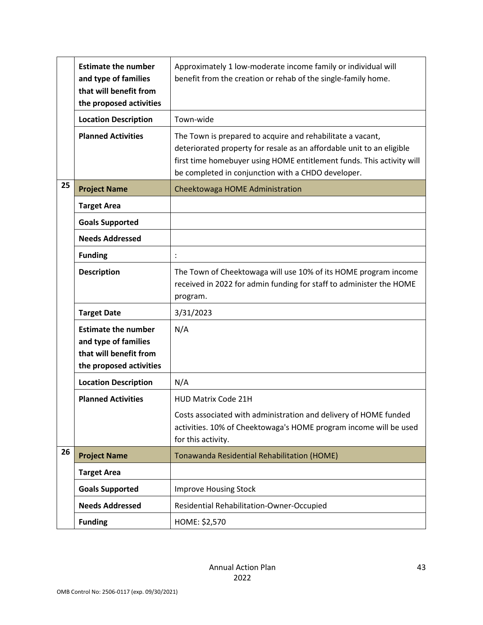|    | <b>Estimate the number</b><br>and type of families<br>that will benefit from<br>the proposed activities | Approximately 1 low-moderate income family or individual will<br>benefit from the creation or rehab of the single-family home.                                                                                                                                     |
|----|---------------------------------------------------------------------------------------------------------|--------------------------------------------------------------------------------------------------------------------------------------------------------------------------------------------------------------------------------------------------------------------|
|    | <b>Location Description</b>                                                                             | Town-wide                                                                                                                                                                                                                                                          |
|    | <b>Planned Activities</b>                                                                               | The Town is prepared to acquire and rehabilitate a vacant,<br>deteriorated property for resale as an affordable unit to an eligible<br>first time homebuyer using HOME entitlement funds. This activity will<br>be completed in conjunction with a CHDO developer. |
| 25 | <b>Project Name</b>                                                                                     | Cheektowaga HOME Administration                                                                                                                                                                                                                                    |
|    | <b>Target Area</b>                                                                                      |                                                                                                                                                                                                                                                                    |
|    | <b>Goals Supported</b>                                                                                  |                                                                                                                                                                                                                                                                    |
|    | <b>Needs Addressed</b>                                                                                  |                                                                                                                                                                                                                                                                    |
|    | <b>Funding</b>                                                                                          |                                                                                                                                                                                                                                                                    |
|    | <b>Description</b>                                                                                      | The Town of Cheektowaga will use 10% of its HOME program income<br>received in 2022 for admin funding for staff to administer the HOME<br>program.                                                                                                                 |
|    | <b>Target Date</b>                                                                                      | 3/31/2023                                                                                                                                                                                                                                                          |
|    | <b>Estimate the number</b><br>and type of families<br>that will benefit from<br>the proposed activities | N/A                                                                                                                                                                                                                                                                |
|    | <b>Location Description</b>                                                                             | N/A                                                                                                                                                                                                                                                                |
|    | <b>Planned Activities</b>                                                                               | <b>HUD Matrix Code 21H</b><br>Costs associated with administration and delivery of HOME funded<br>activities. 10% of Cheektowaga's HOME program income will be used<br>for this activity.                                                                          |
| 26 | <b>Project Name</b>                                                                                     | Tonawanda Residential Rehabilitation (HOME)                                                                                                                                                                                                                        |
|    | <b>Target Area</b>                                                                                      |                                                                                                                                                                                                                                                                    |
|    | <b>Goals Supported</b>                                                                                  | <b>Improve Housing Stock</b>                                                                                                                                                                                                                                       |
|    | <b>Needs Addressed</b>                                                                                  | Residential Rehabilitation-Owner-Occupied                                                                                                                                                                                                                          |
|    | <b>Funding</b>                                                                                          | HOME: \$2,570                                                                                                                                                                                                                                                      |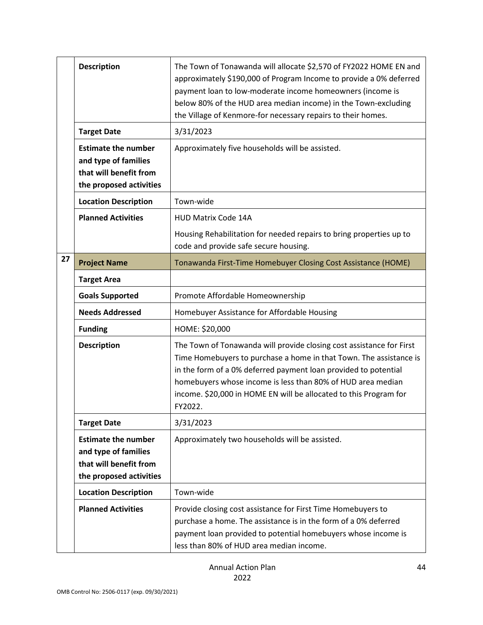|    | <b>Description</b>                                                                                      | The Town of Tonawanda will allocate \$2,570 of FY2022 HOME EN and<br>approximately \$190,000 of Program Income to provide a 0% deferred<br>payment loan to low-moderate income homeowners (income is<br>below 80% of the HUD area median income) in the Town-excluding<br>the Village of Kenmore-for necessary repairs to their homes.                       |
|----|---------------------------------------------------------------------------------------------------------|--------------------------------------------------------------------------------------------------------------------------------------------------------------------------------------------------------------------------------------------------------------------------------------------------------------------------------------------------------------|
|    | <b>Target Date</b>                                                                                      | 3/31/2023                                                                                                                                                                                                                                                                                                                                                    |
|    | <b>Estimate the number</b><br>and type of families<br>that will benefit from<br>the proposed activities | Approximately five households will be assisted.                                                                                                                                                                                                                                                                                                              |
|    | <b>Location Description</b>                                                                             | Town-wide                                                                                                                                                                                                                                                                                                                                                    |
|    | <b>Planned Activities</b>                                                                               | <b>HUD Matrix Code 14A</b>                                                                                                                                                                                                                                                                                                                                   |
|    |                                                                                                         | Housing Rehabilitation for needed repairs to bring properties up to<br>code and provide safe secure housing.                                                                                                                                                                                                                                                 |
| 27 | <b>Project Name</b>                                                                                     | Tonawanda First-Time Homebuyer Closing Cost Assistance (HOME)                                                                                                                                                                                                                                                                                                |
|    | <b>Target Area</b>                                                                                      |                                                                                                                                                                                                                                                                                                                                                              |
|    | <b>Goals Supported</b>                                                                                  | Promote Affordable Homeownership                                                                                                                                                                                                                                                                                                                             |
|    | <b>Needs Addressed</b>                                                                                  | Homebuyer Assistance for Affordable Housing                                                                                                                                                                                                                                                                                                                  |
|    | <b>Funding</b>                                                                                          | HOME: \$20,000                                                                                                                                                                                                                                                                                                                                               |
|    | <b>Description</b>                                                                                      | The Town of Tonawanda will provide closing cost assistance for First<br>Time Homebuyers to purchase a home in that Town. The assistance is<br>in the form of a 0% deferred payment loan provided to potential<br>homebuyers whose income is less than 80% of HUD area median<br>income. \$20,000 in HOME EN will be allocated to this Program for<br>FY2022. |
|    | <b>Target Date</b>                                                                                      | 3/31/2023                                                                                                                                                                                                                                                                                                                                                    |
|    | <b>Estimate the number</b><br>and type of families<br>that will benefit from<br>the proposed activities | Approximately two households will be assisted.                                                                                                                                                                                                                                                                                                               |
|    | <b>Location Description</b>                                                                             | Town-wide                                                                                                                                                                                                                                                                                                                                                    |
|    | <b>Planned Activities</b>                                                                               | Provide closing cost assistance for First Time Homebuyers to<br>purchase a home. The assistance is in the form of a 0% deferred<br>payment loan provided to potential homebuyers whose income is<br>less than 80% of HUD area median income.                                                                                                                 |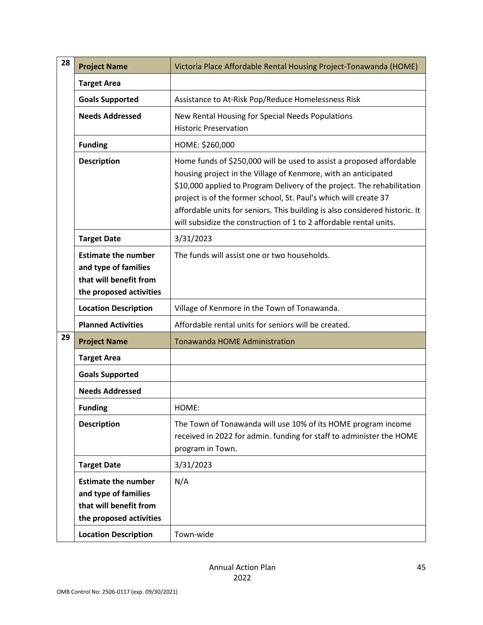| 28<br><b>Project Name</b> |                                                                                                         | Victoria Place Affordable Rental Housing Project-Tonawanda (HOME)                                                                                                                                                                                                                                                                                                                                                                          |
|---------------------------|---------------------------------------------------------------------------------------------------------|--------------------------------------------------------------------------------------------------------------------------------------------------------------------------------------------------------------------------------------------------------------------------------------------------------------------------------------------------------------------------------------------------------------------------------------------|
|                           | <b>Target Area</b>                                                                                      |                                                                                                                                                                                                                                                                                                                                                                                                                                            |
|                           | <b>Goals Supported</b>                                                                                  | Assistance to At-Risk Pop/Reduce Homelessness Risk                                                                                                                                                                                                                                                                                                                                                                                         |
|                           | <b>Needs Addressed</b>                                                                                  | New Rental Housing for Special Needs Populations<br><b>Historic Preservation</b>                                                                                                                                                                                                                                                                                                                                                           |
|                           | <b>Funding</b>                                                                                          | HOME: \$260,000                                                                                                                                                                                                                                                                                                                                                                                                                            |
|                           | <b>Description</b>                                                                                      | Home funds of \$250,000 will be used to assist a proposed affordable<br>housing project in the Village of Kenmore, with an anticipated<br>\$10,000 applied to Program Delivery of the project. The rehabilitation<br>project is of the former school, St. Paul's which will create 37<br>affordable units for seniors. This building is also considered historic. It<br>will subsidize the construction of 1 to 2 affordable rental units. |
|                           | <b>Target Date</b>                                                                                      | 3/31/2023                                                                                                                                                                                                                                                                                                                                                                                                                                  |
|                           | <b>Estimate the number</b><br>and type of families<br>that will benefit from<br>the proposed activities | The funds will assist one or two households.                                                                                                                                                                                                                                                                                                                                                                                               |
|                           | <b>Location Description</b>                                                                             | Village of Kenmore in the Town of Tonawanda.                                                                                                                                                                                                                                                                                                                                                                                               |
|                           | <b>Planned Activities</b>                                                                               | Affordable rental units for seniors will be created.                                                                                                                                                                                                                                                                                                                                                                                       |
| 29<br><b>Project Name</b> |                                                                                                         | <b>Tonawanda HOME Administration</b>                                                                                                                                                                                                                                                                                                                                                                                                       |
|                           | <b>Target Area</b>                                                                                      |                                                                                                                                                                                                                                                                                                                                                                                                                                            |
|                           | <b>Goals Supported</b>                                                                                  |                                                                                                                                                                                                                                                                                                                                                                                                                                            |
|                           | <b>Needs Addressed</b>                                                                                  |                                                                                                                                                                                                                                                                                                                                                                                                                                            |
|                           | <b>Funding</b>                                                                                          | HOME:                                                                                                                                                                                                                                                                                                                                                                                                                                      |
|                           | <b>Description</b>                                                                                      | The Town of Tonawanda will use 10% of its HOME program income<br>received in 2022 for admin. funding for staff to administer the HOME<br>program in Town.                                                                                                                                                                                                                                                                                  |
|                           | <b>Target Date</b>                                                                                      | 3/31/2023                                                                                                                                                                                                                                                                                                                                                                                                                                  |
|                           | <b>Estimate the number</b><br>and type of families<br>that will benefit from<br>the proposed activities | N/A                                                                                                                                                                                                                                                                                                                                                                                                                                        |
|                           | <b>Location Description</b>                                                                             | Town-wide                                                                                                                                                                                                                                                                                                                                                                                                                                  |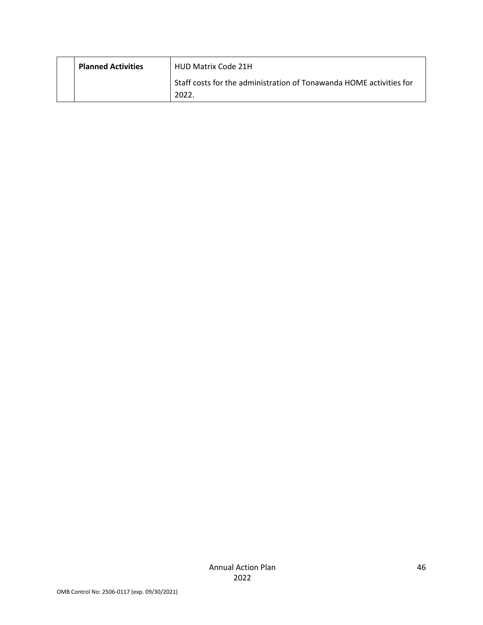| <b>Planned Activities</b> | <b>HUD Matrix Code 21H</b>                                                  |
|---------------------------|-----------------------------------------------------------------------------|
|                           | Staff costs for the administration of Tonawanda HOME activities for<br>2022 |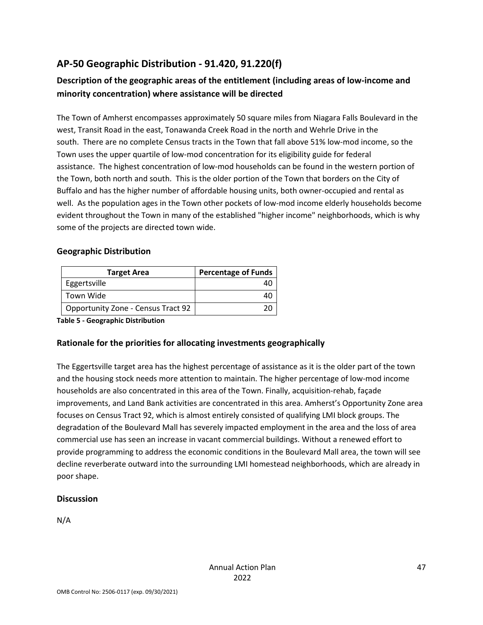# **AP-50 Geographic Distribution - 91.420, 91.220(f)**

# **Description of the geographic areas of the entitlement (including areas of low-income and minority concentration) where assistance will be directed**

The Town of Amherst encompasses approximately 50 square miles from Niagara Falls Boulevard in the west, Transit Road in the east, Tonawanda Creek Road in the north and Wehrle Drive in the south. There are no complete Census tracts in the Town that fall above 51% low-mod income, so the Town uses the upper quartile of low-mod concentration for its eligibility guide for federal assistance. The highest concentration of low-mod households can be found in the western portion of the Town, both north and south. This is the older portion of the Town that borders on the City of Buffalo and has the higher number of affordable housing units, both owner-occupied and rental as well. As the population ages in the Town other pockets of low-mod income elderly households become evident throughout the Town in many of the established "higher income" neighborhoods, which is why some of the projects are directed town wide.

### **Geographic Distribution**

| <b>Target Area</b>                 | <b>Percentage of Funds</b> |
|------------------------------------|----------------------------|
| Eggertsville                       |                            |
| Town Wide                          |                            |
| Opportunity Zone - Census Tract 92 |                            |

**Table 5 - Geographic Distribution** 

# **Rationale for the priorities for allocating investments geographically**

The Eggertsville target area has the highest percentage of assistance as it is the older part of the town and the housing stock needs more attention to maintain. The higher percentage of low-mod income households are also concentrated in this area of the Town. Finally, acquisition-rehab, façade improvements, and Land Bank activities are concentrated in this area. Amherst's Opportunity Zone area focuses on Census Tract 92, which is almost entirely consisted of qualifying LMI block groups. The degradation of the Boulevard Mall has severely impacted employment in the area and the loss of area commercial use has seen an increase in vacant commercial buildings. Without a renewed effort to provide programming to address the economic conditions in the Boulevard Mall area, the town will see decline reverberate outward into the surrounding LMI homestead neighborhoods, which are already in poor shape.

# **Discussion**

N/A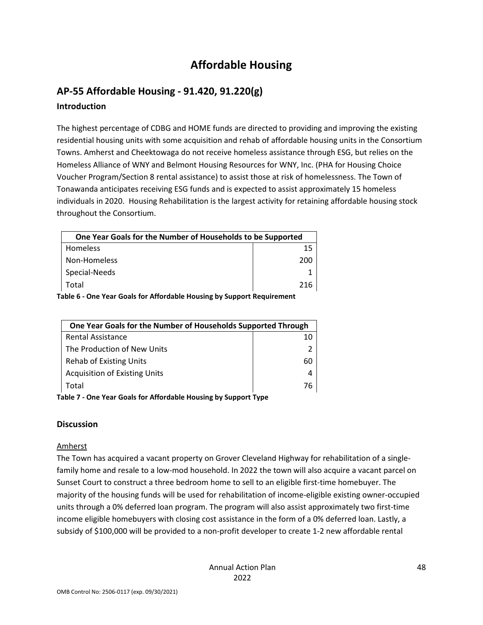# **Affordable Housing**

# **AP-55 Affordable Housing - 91.420, 91.220(g) Introduction**

The highest percentage of CDBG and HOME funds are directed to providing and improving the existing residential housing units with some acquisition and rehab of affordable housing units in the Consortium Towns. Amherst and Cheektowaga do not receive homeless assistance through ESG, but relies on the Homeless Alliance of WNY and Belmont Housing Resources for WNY, Inc. (PHA for Housing Choice Voucher Program/Section 8 rental assistance) to assist those at risk of homelessness. The Town of Tonawanda anticipates receiving ESG funds and is expected to assist approximately 15 homeless individuals in 2020. Housing Rehabilitation is the largest activity for retaining affordable housing stock throughout the Consortium.

| One Year Goals for the Number of Households to be Supported            |     |  |
|------------------------------------------------------------------------|-----|--|
| Homeless                                                               | 15  |  |
| Non-Homeless                                                           | 200 |  |
| Special-Needs                                                          |     |  |
| Total                                                                  | 216 |  |
| alaha C. Ope Vesu Caale fau Affaudalaha Hawaing bu Cunnaut Demuinement |     |  |

**Table 6 - One Year Goals for Affordable Housing by Support Requirement** 

| One Year Goals for the Number of Households Supported Through |    |
|---------------------------------------------------------------|----|
| <b>Rental Assistance</b>                                      | 10 |
| The Production of New Units                                   |    |
| <b>Rehab of Existing Units</b>                                | 60 |
| <b>Acquisition of Existing Units</b>                          |    |
| Total                                                         | 76 |
|                                                               |    |

**Table 7 - One Year Goals for Affordable Housing by Support Type** 

# **Discussion**

#### Amherst

The Town has acquired a vacant property on Grover Cleveland Highway for rehabilitation of a singlefamily home and resale to a low-mod household. In 2022 the town will also acquire a vacant parcel on Sunset Court to construct a three bedroom home to sell to an eligible first-time homebuyer. The majority of the housing funds will be used for rehabilitation of income-eligible existing owner-occupied units through a 0% deferred loan program. The program will also assist approximately two first-time income eligible homebuyers with closing cost assistance in the form of a 0% deferred loan. Lastly, a subsidy of \$100,000 will be provided to a non-profit developer to create 1-2 new affordable rental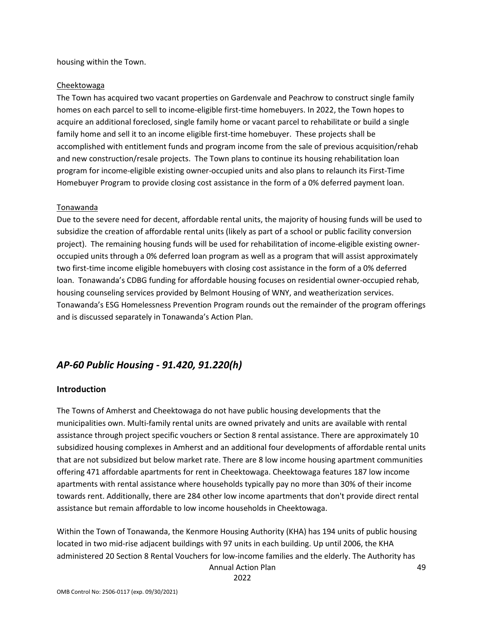housing within the Town.

#### Cheektowaga

The Town has acquired two vacant properties on Gardenvale and Peachrow to construct single family homes on each parcel to sell to income-eligible first-time homebuyers. In 2022, the Town hopes to acquire an additional foreclosed, single family home or vacant parcel to rehabilitate or build a single family home and sell it to an income eligible first-time homebuyer. These projects shall be accomplished with entitlement funds and program income from the sale of previous acquisition/rehab and new construction/resale projects. The Town plans to continue its housing rehabilitation loan program for income-eligible existing owner-occupied units and also plans to relaunch its First-Time Homebuyer Program to provide closing cost assistance in the form of a 0% deferred payment loan.

#### Tonawanda

Due to the severe need for decent, affordable rental units, the majority of housing funds will be used to subsidize the creation of affordable rental units (likely as part of a school or public facility conversion project). The remaining housing funds will be used for rehabilitation of income-eligible existing owneroccupied units through a 0% deferred loan program as well as a program that will assist approximately two first-time income eligible homebuyers with closing cost assistance in the form of a 0% deferred loan. Tonawanda's CDBG funding for affordable housing focuses on residential owner-occupied rehab, housing counseling services provided by Belmont Housing of WNY, and weatherization services. Tonawanda's ESG Homelessness Prevention Program rounds out the remainder of the program offerings and is discussed separately in Tonawanda's Action Plan.

# *AP-60 Public Housing - 91.420, 91.220(h)*

#### **Introduction**

The Towns of Amherst and Cheektowaga do not have public housing developments that the municipalities own. Multi-family rental units are owned privately and units are available with rental assistance through project specific vouchers or Section 8 rental assistance. There are approximately 10 subsidized housing complexes in Amherst and an additional four developments of affordable rental units that are not subsidized but below market rate. There are 8 low income housing apartment communities offering 471 affordable apartments for rent in Cheektowaga. Cheektowaga features 187 low income apartments with rental assistance where households typically pay no more than 30% of their income towards rent. Additionally, there are 284 other low income apartments that don't provide direct rental assistance but remain affordable to low income households in Cheektowaga.

Annual Action Plan Within the Town of Tonawanda, the Kenmore Housing Authority (KHA) has 194 units of public housing located in two mid-rise adjacent buildings with 97 units in each building. Up until 2006, the KHA administered 20 Section 8 Rental Vouchers for low-income families and the elderly. The Authority has

2022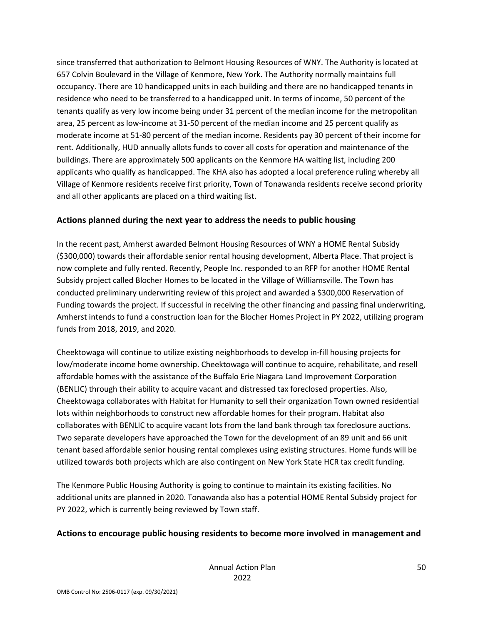since transferred that authorization to Belmont Housing Resources of WNY. The Authority is located at 657 Colvin Boulevard in the Village of Kenmore, New York. The Authority normally maintains full occupancy. There are 10 handicapped units in each building and there are no handicapped tenants in residence who need to be transferred to a handicapped unit. In terms of income, 50 percent of the tenants qualify as very low income being under 31 percent of the median income for the metropolitan area, 25 percent as low-income at 31-50 percent of the median income and 25 percent qualify as moderate income at 51-80 percent of the median income. Residents pay 30 percent of their income for rent. Additionally, HUD annually allots funds to cover all costs for operation and maintenance of the buildings. There are approximately 500 applicants on the Kenmore HA waiting list, including 200 applicants who qualify as handicapped. The KHA also has adopted a local preference ruling whereby all Village of Kenmore residents receive first priority, Town of Tonawanda residents receive second priority and all other applicants are placed on a third waiting list.

#### **Actions planned during the next year to address the needs to public housing**

In the recent past, Amherst awarded Belmont Housing Resources of WNY a HOME Rental Subsidy (\$300,000) towards their affordable senior rental housing development, Alberta Place. That project is now complete and fully rented. Recently, People Inc. responded to an RFP for another HOME Rental Subsidy project called Blocher Homes to be located in the Village of Williamsville. The Town has conducted preliminary underwriting review of this project and awarded a \$300,000 Reservation of Funding towards the project. If successful in receiving the other financing and passing final underwriting, Amherst intends to fund a construction loan for the Blocher Homes Project in PY 2022, utilizing program funds from 2018, 2019, and 2020.

Cheektowaga will continue to utilize existing neighborhoods to develop in-fill housing projects for low/moderate income home ownership. Cheektowaga will continue to acquire, rehabilitate, and resell affordable homes with the assistance of the Buffalo Erie Niagara Land Improvement Corporation (BENLIC) through their ability to acquire vacant and distressed tax foreclosed properties. Also, Cheektowaga collaborates with Habitat for Humanity to sell their organization Town owned residential lots within neighborhoods to construct new affordable homes for their program. Habitat also collaborates with BENLIC to acquire vacant lots from the land bank through tax foreclosure auctions. Two separate developers have approached the Town for the development of an 89 unit and 66 unit tenant based affordable senior housing rental complexes using existing structures. Home funds will be utilized towards both projects which are also contingent on New York State HCR tax credit funding.

The Kenmore Public Housing Authority is going to continue to maintain its existing facilities. No additional units are planned in 2020. Tonawanda also has a potential HOME Rental Subsidy project for PY 2022, which is currently being reviewed by Town staff.

#### **Actions to encourage public housing residents to become more involved in management and**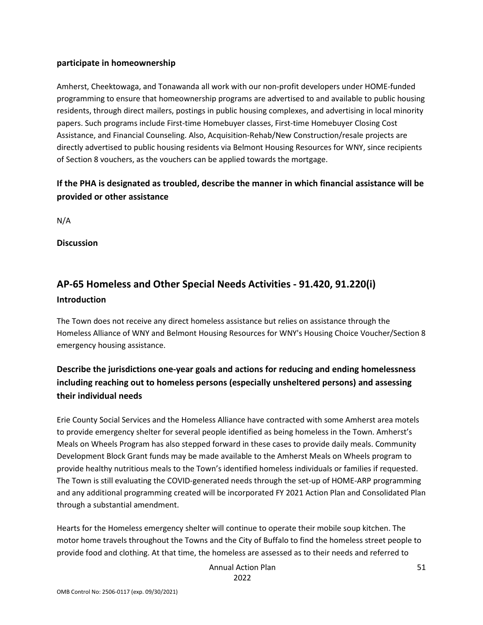#### **participate in homeownership**

Amherst, Cheektowaga, and Tonawanda all work with our non-profit developers under HOME-funded programming to ensure that homeownership programs are advertised to and available to public housing residents, through direct mailers, postings in public housing complexes, and advertising in local minority papers. Such programs include First-time Homebuyer classes, First-time Homebuyer Closing Cost Assistance, and Financial Counseling. Also, Acquisition-Rehab/New Construction/resale projects are directly advertised to public housing residents via Belmont Housing Resources for WNY, since recipients of Section 8 vouchers, as the vouchers can be applied towards the mortgage.

# **If the PHA is designated as troubled, describe the manner in which financial assistance will be provided or other assistance**

N/A

**Discussion** 

# **AP-65 Homeless and Other Special Needs Activities - 91.420, 91.220(i) Introduction**

The Town does not receive any direct homeless assistance but relies on assistance through the Homeless Alliance of WNY and Belmont Housing Resources for WNY's Housing Choice Voucher/Section 8 emergency housing assistance.

# **Describe the jurisdictions one-year goals and actions for reducing and ending homelessness including reaching out to homeless persons (especially unsheltered persons) and assessing their individual needs**

Erie County Social Services and the Homeless Alliance have contracted with some Amherst area motels to provide emergency shelter for several people identified as being homeless in the Town. Amherst's Meals on Wheels Program has also stepped forward in these cases to provide daily meals. Community Development Block Grant funds may be made available to the Amherst Meals on Wheels program to provide healthy nutritious meals to the Town's identified homeless individuals or families if requested. The Town is still evaluating the COVID-generated needs through the set-up of HOME-ARP programming and any additional programming created will be incorporated FY 2021 Action Plan and Consolidated Plan through a substantial amendment.

Hearts for the Homeless emergency shelter will continue to operate their mobile soup kitchen. The motor home travels throughout the Towns and the City of Buffalo to find the homeless street people to provide food and clothing. At that time, the homeless are assessed as to their needs and referred to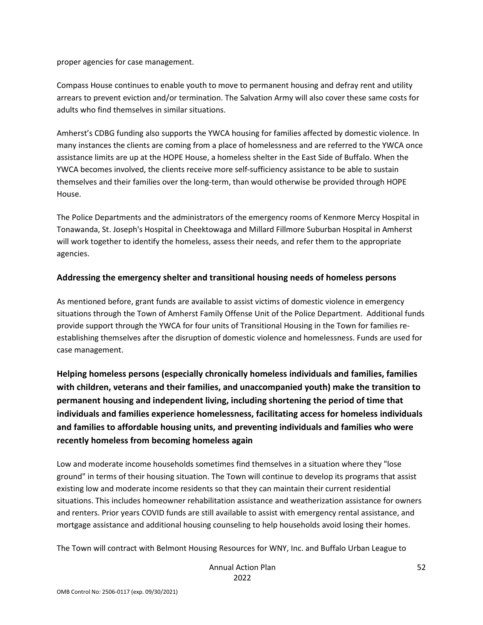proper agencies for case management.

Compass House continues to enable youth to move to permanent housing and defray rent and utility arrears to prevent eviction and/or termination. The Salvation Army will also cover these same costs for adults who find themselves in similar situations.

Amherst's CDBG funding also supports the YWCA housing for families affected by domestic violence. In many instances the clients are coming from a place of homelessness and are referred to the YWCA once assistance limits are up at the HOPE House, a homeless shelter in the East Side of Buffalo. When the YWCA becomes involved, the clients receive more self-sufficiency assistance to be able to sustain themselves and their families over the long-term, than would otherwise be provided through HOPE House.

The Police Departments and the administrators of the emergency rooms of Kenmore Mercy Hospital in Tonawanda, St. Joseph's Hospital in Cheektowaga and Millard Fillmore Suburban Hospital in Amherst will work together to identify the homeless, assess their needs, and refer them to the appropriate agencies.

#### **Addressing the emergency shelter and transitional housing needs of homeless persons**

As mentioned before, grant funds are available to assist victims of domestic violence in emergency situations through the Town of Amherst Family Offense Unit of the Police Department. Additional funds provide support through the YWCA for four units of Transitional Housing in the Town for families reestablishing themselves after the disruption of domestic violence and homelessness. Funds are used for case management.

**Helping homeless persons (especially chronically homeless individuals and families, families with children, veterans and their families, and unaccompanied youth) make the transition to permanent housing and independent living, including shortening the period of time that individuals and families experience homelessness, facilitating access for homeless individuals and families to affordable housing units, and preventing individuals and families who were recently homeless from becoming homeless again** 

Low and moderate income households sometimes find themselves in a situation where they "lose ground" in terms of their housing situation. The Town will continue to develop its programs that assist existing low and moderate income residents so that they can maintain their current residential situations. This includes homeowner rehabilitation assistance and weatherization assistance for owners and renters. Prior years COVID funds are still available to assist with emergency rental assistance, and mortgage assistance and additional housing counseling to help households avoid losing their homes.

The Town will contract with Belmont Housing Resources for WNY, Inc. and Buffalo Urban League to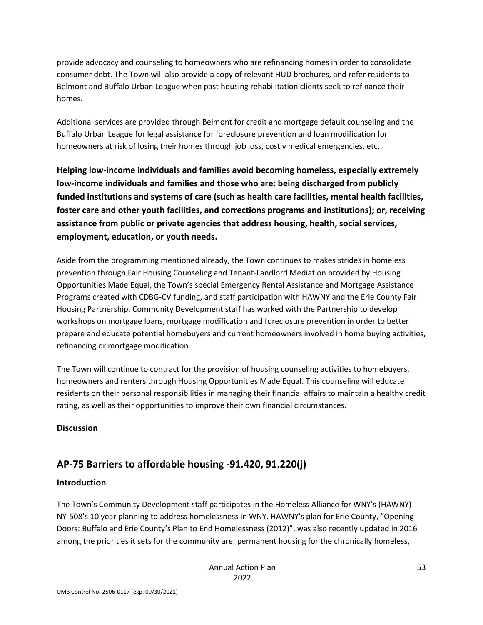provide advocacy and counseling to homeowners who are refinancing homes in order to consolidate consumer debt. The Town will also provide a copy of relevant HUD brochures, and refer residents to Belmont and Buffalo Urban League when past housing rehabilitation clients seek to refinance their homes.

Additional services are provided through Belmont for credit and mortgage default counseling and the Buffalo Urban League for legal assistance for foreclosure prevention and loan modification for homeowners at risk of losing their homes through job loss, costly medical emergencies, etc.

**Helping low-income individuals and families avoid becoming homeless, especially extremely low-income individuals and families and those who are: being discharged from publicly funded institutions and systems of care (such as health care facilities, mental health facilities, foster care and other youth facilities, and corrections programs and institutions); or, receiving assistance from public or private agencies that address housing, health, social services, employment, education, or youth needs.** 

Aside from the programming mentioned already, the Town continues to makes strides in homeless prevention through Fair Housing Counseling and Tenant-Landlord Mediation provided by Housing Opportunities Made Equal, the Town's special Emergency Rental Assistance and Mortgage Assistance Programs created with CDBG-CV funding, and staff participation with HAWNY and the Erie County Fair Housing Partnership. Community Development staff has worked with the Partnership to develop workshops on mortgage loans, mortgage modification and foreclosure prevention in order to better prepare and educate potential homebuyers and current homeowners involved in home buying activities, refinancing or mortgage modification.

The Town will continue to contract for the provision of housing counseling activities to homebuyers, homeowners and renters through Housing Opportunities Made Equal. This counseling will educate residents on their personal responsibilities in managing their financial affairs to maintain a healthy credit rating, as well as their opportunities to improve their own financial circumstances.

# **Discussion**

# **AP-75 Barriers to affordable housing -91.420, 91.220(j)**

# **Introduction**

The Town's Community Development staff participates in the Homeless Alliance for WNY's (HAWNY) NY-508's 10 year planning to address homelessness in WNY. HAWNY's plan for Erie County, "Opening Doors: Buffalo and Erie County's Plan to End Homelessness (2012)", was also recently updated in 2016 among the priorities it sets for the community are: permanent housing for the chronically homeless,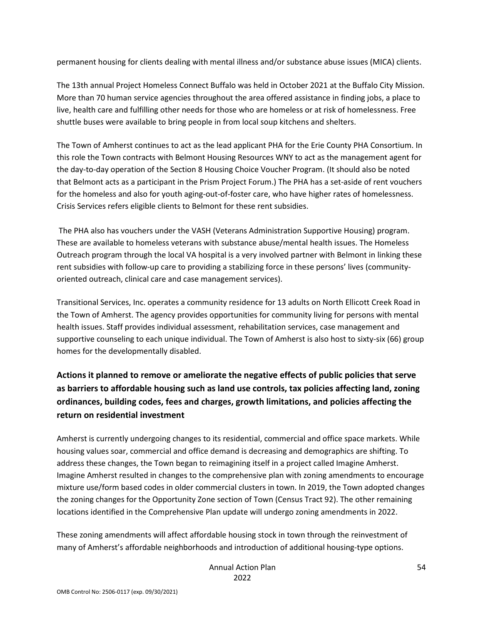permanent housing for clients dealing with mental illness and/or substance abuse issues (MICA) clients.

The 13th annual Project Homeless Connect Buffalo was held in October 2021 at the Buffalo City Mission. More than 70 human service agencies throughout the area offered assistance in finding jobs, a place to live, health care and fulfilling other needs for those who are homeless or at risk of homelessness. Free shuttle buses were available to bring people in from local soup kitchens and shelters.

The Town of Amherst continues to act as the lead applicant PHA for the Erie County PHA Consortium. In this role the Town contracts with Belmont Housing Resources WNY to act as the management agent for the day-to-day operation of the Section 8 Housing Choice Voucher Program. (It should also be noted that Belmont acts as a participant in the Prism Project Forum.) The PHA has a set-aside of rent vouchers for the homeless and also for youth aging-out-of-foster care, who have higher rates of homelessness. Crisis Services refers eligible clients to Belmont for these rent subsidies.

 The PHA also has vouchers under the VASH (Veterans Administration Supportive Housing) program. These are available to homeless veterans with substance abuse/mental health issues. The Homeless Outreach program through the local VA hospital is a very involved partner with Belmont in linking these rent subsidies with follow-up care to providing a stabilizing force in these persons' lives (communityoriented outreach, clinical care and case management services).

Transitional Services, Inc. operates a community residence for 13 adults on North Ellicott Creek Road in the Town of Amherst. The agency provides opportunities for community living for persons with mental health issues. Staff provides individual assessment, rehabilitation services, case management and supportive counseling to each unique individual. The Town of Amherst is also host to sixty-six (66) group homes for the developmentally disabled.

# **Actions it planned to remove or ameliorate the negative effects of public policies that serve as barriers to affordable housing such as land use controls, tax policies affecting land, zoning ordinances, building codes, fees and charges, growth limitations, and policies affecting the return on residential investment**

Amherst is currently undergoing changes to its residential, commercial and office space markets. While housing values soar, commercial and office demand is decreasing and demographics are shifting. To address these changes, the Town began to reimagining itself in a project called Imagine Amherst. Imagine Amherst resulted in changes to the comprehensive plan with zoning amendments to encourage mixture use/form based codes in older commercial clusters in town. In 2019, the Town adopted changes the zoning changes for the Opportunity Zone section of Town (Census Tract 92). The other remaining locations identified in the Comprehensive Plan update will undergo zoning amendments in 2022.

These zoning amendments will affect affordable housing stock in town through the reinvestment of many of Amherst's affordable neighborhoods and introduction of additional housing-type options.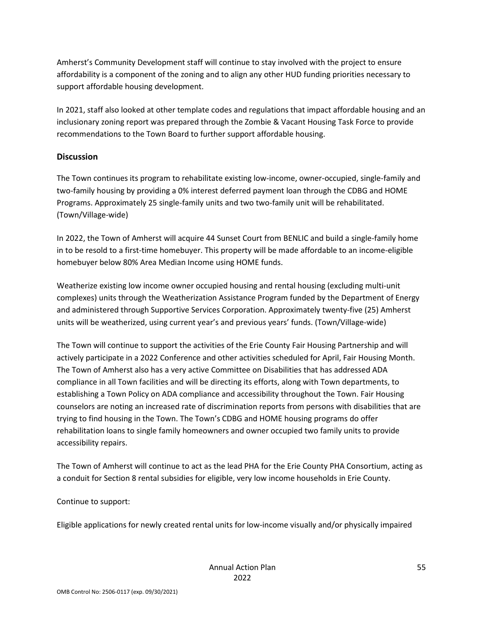Amherst's Community Development staff will continue to stay involved with the project to ensure affordability is a component of the zoning and to align any other HUD funding priorities necessary to support affordable housing development.

In 2021, staff also looked at other template codes and regulations that impact affordable housing and an inclusionary zoning report was prepared through the Zombie & Vacant Housing Task Force to provide recommendations to the Town Board to further support affordable housing.

### **Discussion**

The Town continues its program to rehabilitate existing low-income, owner-occupied, single-family and two-family housing by providing a 0% interest deferred payment loan through the CDBG and HOME Programs. Approximately 25 single-family units and two two-family unit will be rehabilitated. (Town/Village-wide)

In 2022, the Town of Amherst will acquire 44 Sunset Court from BENLIC and build a single-family home in to be resold to a first-time homebuyer. This property will be made affordable to an income-eligible homebuyer below 80% Area Median Income using HOME funds.

Weatherize existing low income owner occupied housing and rental housing (excluding multi-unit complexes) units through the Weatherization Assistance Program funded by the Department of Energy and administered through Supportive Services Corporation. Approximately twenty-five (25) Amherst units will be weatherized, using current year's and previous years' funds. (Town/Village-wide)

The Town will continue to support the activities of the Erie County Fair Housing Partnership and will actively participate in a 2022 Conference and other activities scheduled for April, Fair Housing Month. The Town of Amherst also has a very active Committee on Disabilities that has addressed ADA compliance in all Town facilities and will be directing its efforts, along with Town departments, to establishing a Town Policy on ADA compliance and accessibility throughout the Town. Fair Housing counselors are noting an increased rate of discrimination reports from persons with disabilities that are trying to find housing in the Town. The Town's CDBG and HOME housing programs do offer rehabilitation loans to single family homeowners and owner occupied two family units to provide accessibility repairs.

The Town of Amherst will continue to act as the lead PHA for the Erie County PHA Consortium, acting as a conduit for Section 8 rental subsidies for eligible, very low income households in Erie County.

Continue to support:

Eligible applications for newly created rental units for low-income visually and/or physically impaired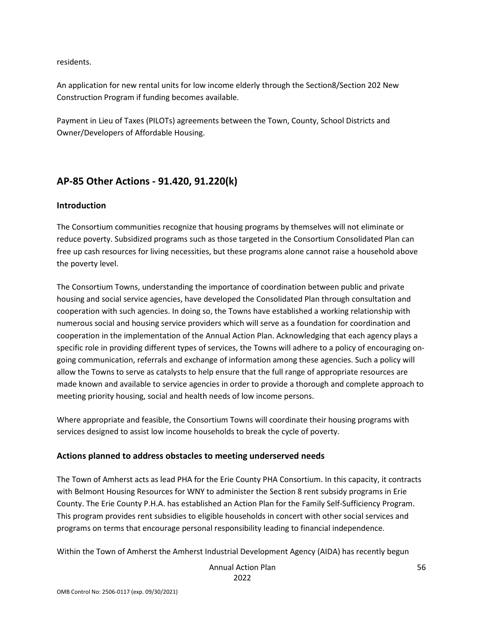residents.

An application for new rental units for low income elderly through the Section8/Section 202 New Construction Program if funding becomes available.

Payment in Lieu of Taxes (PILOTs) agreements between the Town, County, School Districts and Owner/Developers of Affordable Housing.

# **AP-85 Other Actions - 91.420, 91.220(k)**

#### **Introduction**

The Consortium communities recognize that housing programs by themselves will not eliminate or reduce poverty. Subsidized programs such as those targeted in the Consortium Consolidated Plan can free up cash resources for living necessities, but these programs alone cannot raise a household above the poverty level.

The Consortium Towns, understanding the importance of coordination between public and private housing and social service agencies, have developed the Consolidated Plan through consultation and cooperation with such agencies. In doing so, the Towns have established a working relationship with numerous social and housing service providers which will serve as a foundation for coordination and cooperation in the implementation of the Annual Action Plan. Acknowledging that each agency plays a specific role in providing different types of services, the Towns will adhere to a policy of encouraging ongoing communication, referrals and exchange of information among these agencies. Such a policy will allow the Towns to serve as catalysts to help ensure that the full range of appropriate resources are made known and available to service agencies in order to provide a thorough and complete approach to meeting priority housing, social and health needs of low income persons.

Where appropriate and feasible, the Consortium Towns will coordinate their housing programs with services designed to assist low income households to break the cycle of poverty.

# **Actions planned to address obstacles to meeting underserved needs**

The Town of Amherst acts as lead PHA for the Erie County PHA Consortium. In this capacity, it contracts with Belmont Housing Resources for WNY to administer the Section 8 rent subsidy programs in Erie County. The Erie County P.H.A. has established an Action Plan for the Family Self-Sufficiency Program. This program provides rent subsidies to eligible households in concert with other social services and programs on terms that encourage personal responsibility leading to financial independence.

Within the Town of Amherst the Amherst Industrial Development Agency (AIDA) has recently begun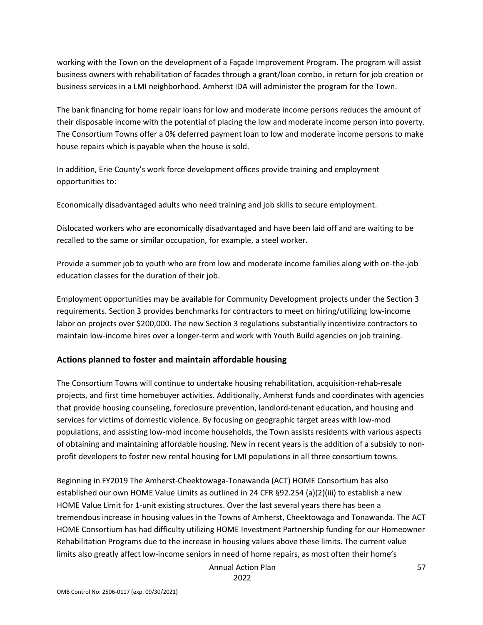working with the Town on the development of a Façade Improvement Program. The program will assist business owners with rehabilitation of facades through a grant/loan combo, in return for job creation or business services in a LMI neighborhood. Amherst IDA will administer the program for the Town.

The bank financing for home repair loans for low and moderate income persons reduces the amount of their disposable income with the potential of placing the low and moderate income person into poverty. The Consortium Towns offer a 0% deferred payment loan to low and moderate income persons to make house repairs which is payable when the house is sold.

In addition, Erie County's work force development offices provide training and employment opportunities to:

Economically disadvantaged adults who need training and job skills to secure employment.

Dislocated workers who are economically disadvantaged and have been laid off and are waiting to be recalled to the same or similar occupation, for example, a steel worker.

Provide a summer job to youth who are from low and moderate income families along with on-the-job education classes for the duration of their job.

Employment opportunities may be available for Community Development projects under the Section 3 requirements. Section 3 provides benchmarks for contractors to meet on hiring/utilizing low-income labor on projects over \$200,000. The new Section 3 regulations substantially incentivize contractors to maintain low-income hires over a longer-term and work with Youth Build agencies on job training.

#### **Actions planned to foster and maintain affordable housing**

The Consortium Towns will continue to undertake housing rehabilitation, acquisition-rehab-resale projects, and first time homebuyer activities. Additionally, Amherst funds and coordinates with agencies that provide housing counseling, foreclosure prevention, landlord-tenant education, and housing and services for victims of domestic violence. By focusing on geographic target areas with low-mod populations, and assisting low-mod income households, the Town assists residents with various aspects of obtaining and maintaining affordable housing. New in recent years is the addition of a subsidy to nonprofit developers to foster new rental housing for LMI populations in all three consortium towns.

Beginning in FY2019 The Amherst-Cheektowaga-Tonawanda (ACT) HOME Consortium has also established our own HOME Value Limits as outlined in 24 CFR §92.254 (a)(2)(iii) to establish a new HOME Value Limit for 1-unit existing structures. Over the last several years there has been a tremendous increase in housing values in the Towns of Amherst, Cheektowaga and Tonawanda. The ACT HOME Consortium has had difficulty utilizing HOME Investment Partnership funding for our Homeowner Rehabilitation Programs due to the increase in housing values above these limits. The current value limits also greatly affect low-income seniors in need of home repairs, as most often their home's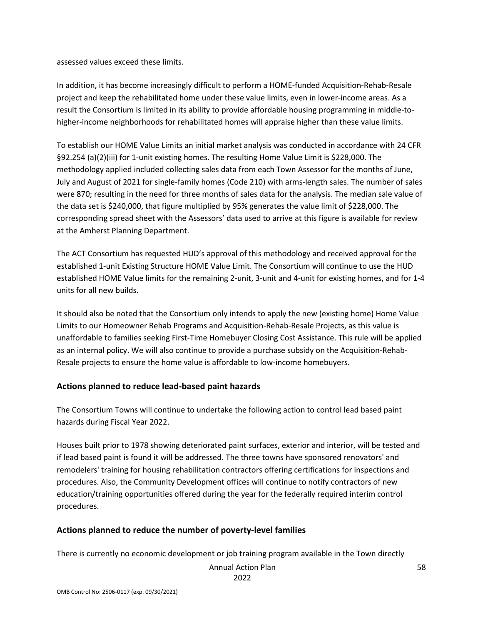assessed values exceed these limits.

In addition, it has become increasingly difficult to perform a HOME-funded Acquisition-Rehab-Resale project and keep the rehabilitated home under these value limits, even in lower-income areas. As a result the Consortium is limited in its ability to provide affordable housing programming in middle-tohigher-income neighborhoods for rehabilitated homes will appraise higher than these value limits.

To establish our HOME Value Limits an initial market analysis was conducted in accordance with 24 CFR §92.254 (a)(2)(iii) for 1-unit existing homes. The resulting Home Value Limit is \$228,000. The methodology applied included collecting sales data from each Town Assessor for the months of June, July and August of 2021 for single-family homes (Code 210) with arms-length sales. The number of sales were 870; resulting in the need for three months of sales data for the analysis. The median sale value of the data set is \$240,000, that figure multiplied by 95% generates the value limit of \$228,000. The corresponding spread sheet with the Assessors' data used to arrive at this figure is available for review at the Amherst Planning Department.

The ACT Consortium has requested HUD's approval of this methodology and received approval for the established 1-unit Existing Structure HOME Value Limit. The Consortium will continue to use the HUD established HOME Value limits for the remaining 2-unit, 3-unit and 4-unit for existing homes, and for 1-4 units for all new builds.

It should also be noted that the Consortium only intends to apply the new (existing home) Home Value Limits to our Homeowner Rehab Programs and Acquisition-Rehab-Resale Projects, as this value is unaffordable to families seeking First-Time Homebuyer Closing Cost Assistance. This rule will be applied as an internal policy. We will also continue to provide a purchase subsidy on the Acquisition-Rehab-Resale projects to ensure the home value is affordable to low-income homebuyers.

#### **Actions planned to reduce lead-based paint hazards**

The Consortium Towns will continue to undertake the following action to control lead based paint hazards during Fiscal Year 2022.

Houses built prior to 1978 showing deteriorated paint surfaces, exterior and interior, will be tested and if lead based paint is found it will be addressed. The three towns have sponsored renovators' and remodelers' training for housing rehabilitation contractors offering certifications for inspections and procedures. Also, the Community Development offices will continue to notify contractors of new education/training opportunities offered during the year for the federally required interim control procedures.

#### **Actions planned to reduce the number of poverty-level families**

There is currently no economic development or job training program available in the Town directly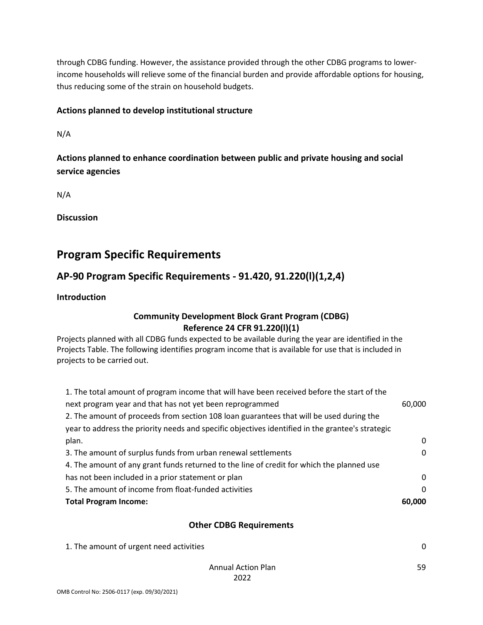through CDBG funding. However, the assistance provided through the other CDBG programs to lowerincome households will relieve some of the financial burden and provide affordable options for housing, thus reducing some of the strain on household budgets.

### **Actions planned to develop institutional structure**

N/A

**Actions planned to enhance coordination between public and private housing and social service agencies** 

N/A

**Discussion** 

# **Program Specific Requirements**

# **AP-90 Program Specific Requirements - 91.420, 91.220(l)(1,2,4)**

**Introduction** 

### **Community Development Block Grant Program (CDBG) Reference 24 CFR 91.220(l)(1)**

Projects planned with all CDBG funds expected to be available during the year are identified in the Projects Table. The following identifies program income that is available for use that is included in projects to be carried out.

| <b>Total Program Income:</b>                                                                     | 60,000       |
|--------------------------------------------------------------------------------------------------|--------------|
| 5. The amount of income from float-funded activities                                             | 0            |
| has not been included in a prior statement or plan                                               | $\Omega$     |
| 4. The amount of any grant funds returned to the line of credit for which the planned use        |              |
| 3. The amount of surplus funds from urban renewal settlements                                    | $\mathbf{0}$ |
| plan.                                                                                            | 0            |
| year to address the priority needs and specific objectives identified in the grantee's strategic |              |
| 2. The amount of proceeds from section 108 loan guarantees that will be used during the          |              |
| next program year and that has not yet been reprogrammed                                         | 60,000       |
| 1. The total amount of program income that will have been received before the start of the       |              |

#### **Other CDBG Requirements**

| 1. The amount of urgent need activities |  |
|-----------------------------------------|--|
|-----------------------------------------|--|

59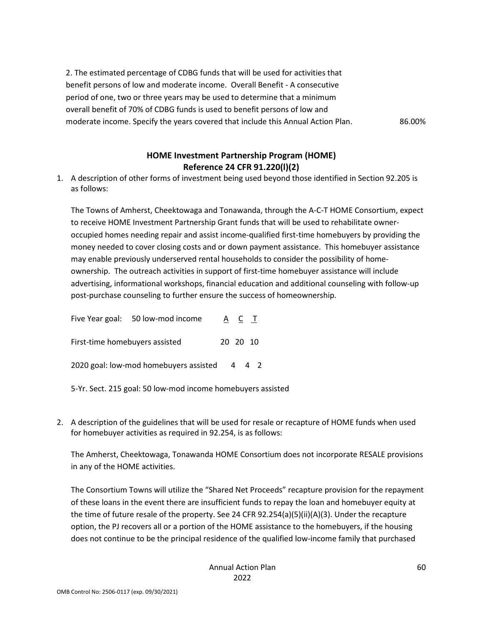2. The estimated percentage of CDBG funds that will be used for activities that benefit persons of low and moderate income. Overall Benefit - A consecutive period of one, two or three years may be used to determine that a minimum overall benefit of 70% of CDBG funds is used to benefit persons of low and moderate income. Specify the years covered that include this Annual Action Plan. 86.00%

# **HOME Investment Partnership Program (HOME) Reference 24 CFR 91.220(l)(2)**

1. A description of other forms of investment being used beyond those identified in Section 92.205 is as follows:

The Towns of Amherst, Cheektowaga and Tonawanda, through the A-C-T HOME Consortium, expect to receive HOME Investment Partnership Grant funds that will be used to rehabilitate owneroccupied homes needing repair and assist income-qualified first-time homebuyers by providing the money needed to cover closing costs and or down payment assistance. This homebuyer assistance may enable previously underserved rental households to consider the possibility of homeownership. The outreach activities in support of first-time homebuyer assistance will include advertising, informational workshops, financial education and additional counseling with follow-up post-purchase counseling to further ensure the success of homeownership.

Five Year goal: 50 low-mod income  $\underline{A}$   $\underline{C}$   $\underline{T}$ First-time homebuyers assisted 20 20 10 2020 goal: low-mod homebuyers assisted 4 4 2

- 5-Yr. Sect. 215 goal: 50 low-mod income homebuyers assisted
- 2. A description of the guidelines that will be used for resale or recapture of HOME funds when used for homebuyer activities as required in 92.254, is as follows:

The Amherst, Cheektowaga, Tonawanda HOME Consortium does not incorporate RESALE provisions in any of the HOME activities.

The Consortium Towns will utilize the "Shared Net Proceeds" recapture provision for the repayment of these loans in the event there are insufficient funds to repay the loan and homebuyer equity at the time of future resale of the property. See 24 CFR 92.254(a)(5)(ii)(A)(3). Under the recapture option, the PJ recovers all or a portion of the HOME assistance to the homebuyers, if the housing does not continue to be the principal residence of the qualified low-income family that purchased